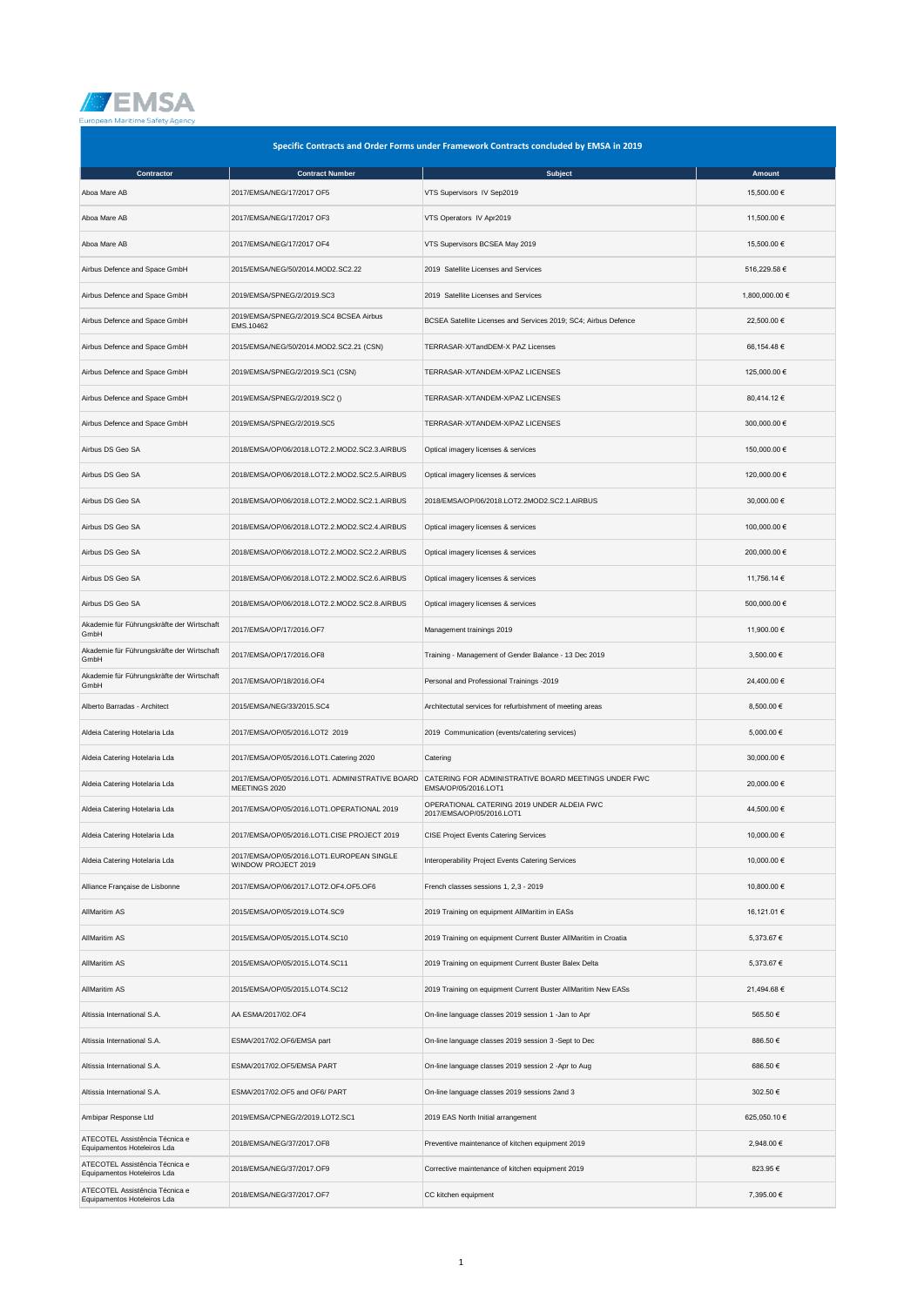

| Specific Contracts and Order Forms under Framework Contracts concluded by EMSA in 2019 |                                                                  |                                                                                                                              |                |  |
|----------------------------------------------------------------------------------------|------------------------------------------------------------------|------------------------------------------------------------------------------------------------------------------------------|----------------|--|
| Contractor                                                                             | <b>Contract Number</b>                                           | <b>Subject</b>                                                                                                               | Amount         |  |
| Aboa Mare AB                                                                           | 2017/EMSA/NEG/17/2017 OF5                                        | VTS Supervisors IV Sep2019                                                                                                   | 15,500.00 €    |  |
| Aboa Mare AB                                                                           | 2017/EMSA/NEG/17/2017 OF3                                        | VTS Operators IV Apr2019                                                                                                     | 11,500.00 €    |  |
| Aboa Mare AB                                                                           | 2017/EMSA/NEG/17/2017 OF4                                        | VTS Supervisors BCSEA May 2019                                                                                               | 15,500.00 €    |  |
| Airbus Defence and Space GmbH                                                          | 2015/EMSA/NEG/50/2014.MOD2.SC2.22                                | 2019 Satellite Licenses and Services                                                                                         | 516,229.58€    |  |
| Airbus Defence and Space GmbH                                                          | 2019/EMSA/SPNEG/2/2019.SC3                                       | 2019 Satellite Licenses and Services                                                                                         | 1,800,000.00 € |  |
| Airbus Defence and Space GmbH                                                          | 2019/EMSA/SPNEG/2/2019.SC4 BCSEA Airbus<br>EMS.10462             | BCSEA Satellite Licenses and Services 2019; SC4; Airbus Defence                                                              | 22,500.00 €    |  |
| Airbus Defence and Space GmbH                                                          | 2015/EMSA/NEG/50/2014.MOD2.SC2.21 (CSN)                          | TERRASAR-X/TandDEM-X PAZ Licenses                                                                                            | 66,154.48 €    |  |
| Airbus Defence and Space GmbH                                                          | 2019/EMSA/SPNEG/2/2019.SC1 (CSN)                                 | TERRASAR-X/TANDEM-X/PAZ LICENSES                                                                                             | 125,000.00 €   |  |
| Airbus Defence and Space GmbH                                                          | 2019/EMSA/SPNEG/2/2019.SC2 ()                                    | TERRASAR-X/TANDEM-X/PAZ LICENSES                                                                                             | 80,414.12 €    |  |
| Airbus Defence and Space GmbH                                                          | 2019/EMSA/SPNEG/2/2019.SC5                                       | TERRASAR-X/TANDEM-X/PAZ LICENSES                                                                                             | 300,000.00 €   |  |
| Airbus DS Geo SA                                                                       | 2018/EMSA/OP/06/2018.LOT2.2.MOD2.SC2.3.AIRBUS                    | Optical imagery licenses & services                                                                                          | 150,000.00 €   |  |
| Airbus DS Geo SA                                                                       | 2018/EMSA/OP/06/2018.LOT2.2.MOD2.SC2.5.AIRBUS                    | Optical imagery licenses & services                                                                                          | 120,000.00 €   |  |
| Airbus DS Geo SA                                                                       | 2018/EMSA/OP/06/2018.LOT2.2.MOD2.SC2.1.AIRBUS                    | 2018/EMSA/OP/06/2018.LOT2.2MOD2.SC2.1.AIRBUS                                                                                 | 30,000.00 €    |  |
| Airbus DS Geo SA                                                                       | 2018/EMSA/OP/06/2018.LOT2.2.MOD2.SC2.4.AIRBUS                    | Optical imagery licenses & services                                                                                          | 100,000.00 €   |  |
| Airbus DS Geo SA                                                                       | 2018/EMSA/OP/06/2018.LOT2.2.MOD2.SC2.2.AIRBUS                    | Optical imagery licenses & services                                                                                          | 200,000.00 €   |  |
| Airbus DS Geo SA                                                                       | 2018/EMSA/OP/06/2018.LOT2.2.MOD2.SC2.6.AIRBUS                    | Optical imagery licenses & services                                                                                          | 11,756.14 €    |  |
| Airbus DS Geo SA                                                                       | 2018/EMSA/OP/06/2018.LOT2.2.MOD2.SC2.8.AIRBUS                    | Optical imagery licenses & services                                                                                          | 500,000.00 €   |  |
| Akademie für Führungskräfte der Wirtschaft<br>GmbH                                     | 2017/EMSA/OP/17/2016.OF7                                         | Management trainings 2019                                                                                                    | 11,900.00 €    |  |
| Akademie für Führungskräfte der Wirtschaft<br>GmbH                                     | 2017/EMSA/OP/17/2016.OF8                                         | Training - Management of Gender Balance - 13 Dec 2019                                                                        | 3,500.00 €     |  |
| Akademie für Führungskräfte der Wirtschaft<br>GmbH                                     | 2017/EMSA/OP/18/2016.OF4                                         | Personal and Professional Trainings -2019                                                                                    | 24,400.00 €    |  |
| Alberto Barradas - Architect                                                           | 2015/EMSA/NEG/33/2015.SC4                                        | Architectutal services for refurbishment of meeting areas                                                                    | 8,500.00 €     |  |
| Aldeia Catering Hotelaria Lda                                                          | 2017/EMSA/OP/05/2016.LOT2 2019                                   | 2019 Communication (events/catering services)                                                                                | 5,000.00 €     |  |
| Aldeia Catering Hotelaria Lda                                                          | 2017/EMSA/OP/05/2016.LOT1.Catering 2020                          | Catering                                                                                                                     | 30,000.00 €    |  |
| Aldeia Catering Hotelaria Lda                                                          | MEETINGS 2020                                                    | 2017/EMSA/OP/05/2016.LOT1. ADMINISTRATIVE BOARD CATERING FOR ADMINISTRATIVE BOARD MEETINGS UNDER FWC<br>EMSA/OP/05/2016.LOT1 | 20.000.00 €    |  |
| Aldeia Catering Hotelaria Lda                                                          | 2017/EMSA/OP/05/2016.LOT1.OPERATIONAL 2019                       | OPERATIONAL CATERING 2019 UNDER ALDEIA FWC<br>2017/EMSA/OP/05/2016.LOT1                                                      | 44,500.00 €    |  |
| Aldeia Catering Hotelaria Lda                                                          | 2017/EMSA/OP/05/2016.LOT1.CISE PROJECT 2019                      | <b>CISE Project Events Catering Services</b>                                                                                 | 10,000.00 €    |  |
| Aldeia Catering Hotelaria Lda                                                          | 2017/EMSA/OP/05/2016.LOT1.EUROPEAN SINGLE<br>WINDOW PROJECT 2019 | Interoperability Project Events Catering Services                                                                            | 10,000.00 €    |  |
| Alliance Française de Lisbonne                                                         | 2017/EMSA/OP/06/2017.LOT2.OF4.OF5.OF6                            | French classes sessions 1, 2,3 - 2019                                                                                        | 10,800.00 €    |  |
| AllMaritim AS                                                                          | 2015/EMSA/OP/05/2019.LOT4.SC9                                    | 2019 Training on equipment AllMaritim in EASs                                                                                | 16,121.01 €    |  |
| AllMaritim AS                                                                          | 2015/EMSA/OP/05/2015.LOT4.SC10                                   | 2019 Training on equipment Current Buster AllMaritim in Croatia                                                              | 5,373.67 €     |  |
| AllMaritim AS                                                                          | 2015/EMSA/OP/05/2015.LOT4.SC11                                   | 2019 Training on equipment Current Buster Balex Delta                                                                        | 5,373.67 €     |  |
| AllMaritim AS                                                                          | 2015/EMSA/OP/05/2015.LOT4.SC12                                   | 2019 Training on equipment Current Buster AllMaritim New EASs                                                                | 21,494.68 €    |  |
| Altissia International S.A.                                                            | AA ESMA/2017/02.OF4                                              | On-line language classes 2019 session 1 -Jan to Apr                                                                          | 565.50 €       |  |
| Altissia International S.A.                                                            | ESMA/2017/02.OF6/EMSA part                                       | On-line language classes 2019 session 3 -Sept to Dec                                                                         | 886.50€        |  |
| Altissia International S.A.                                                            | ESMA/2017/02.OF5/EMSA PART                                       | On-line language classes 2019 session 2 -Apr to Aug                                                                          | 686.50 €       |  |
| Altissia International S.A.                                                            | ESMA/2017/02.OF5 and OF6/ PART                                   | On-line language classes 2019 sessions 2and 3                                                                                | 302.50 €       |  |
| Ambipar Response Ltd                                                                   | 2019/EMSA/CPNEG/2/2019.LOT2.SC1                                  | 2019 EAS North Initial arrangement                                                                                           | 625,050.10 €   |  |
| ATECOTEL Assistência Técnica e<br>Equipamentos Hoteleiros Lda                          | 2018/EMSA/NEG/37/2017.OF8                                        | Preventive maintenance of kitchen equipment 2019                                                                             | 2,948.00 €     |  |
| ATECOTEL Assistência Técnica e<br>Equipamentos Hoteleiros Lda                          | 2018/EMSA/NEG/37/2017.OF9                                        | Corrective maintenance of kitchen equipment 2019                                                                             | 823.95€        |  |
| ATECOTEL Assistência Técnica e<br>Equipamentos Hoteleiros Lda                          | 2018/EMSA/NEG/37/2017.OF7                                        | CC kitchen equipment                                                                                                         | 7,395.00 €     |  |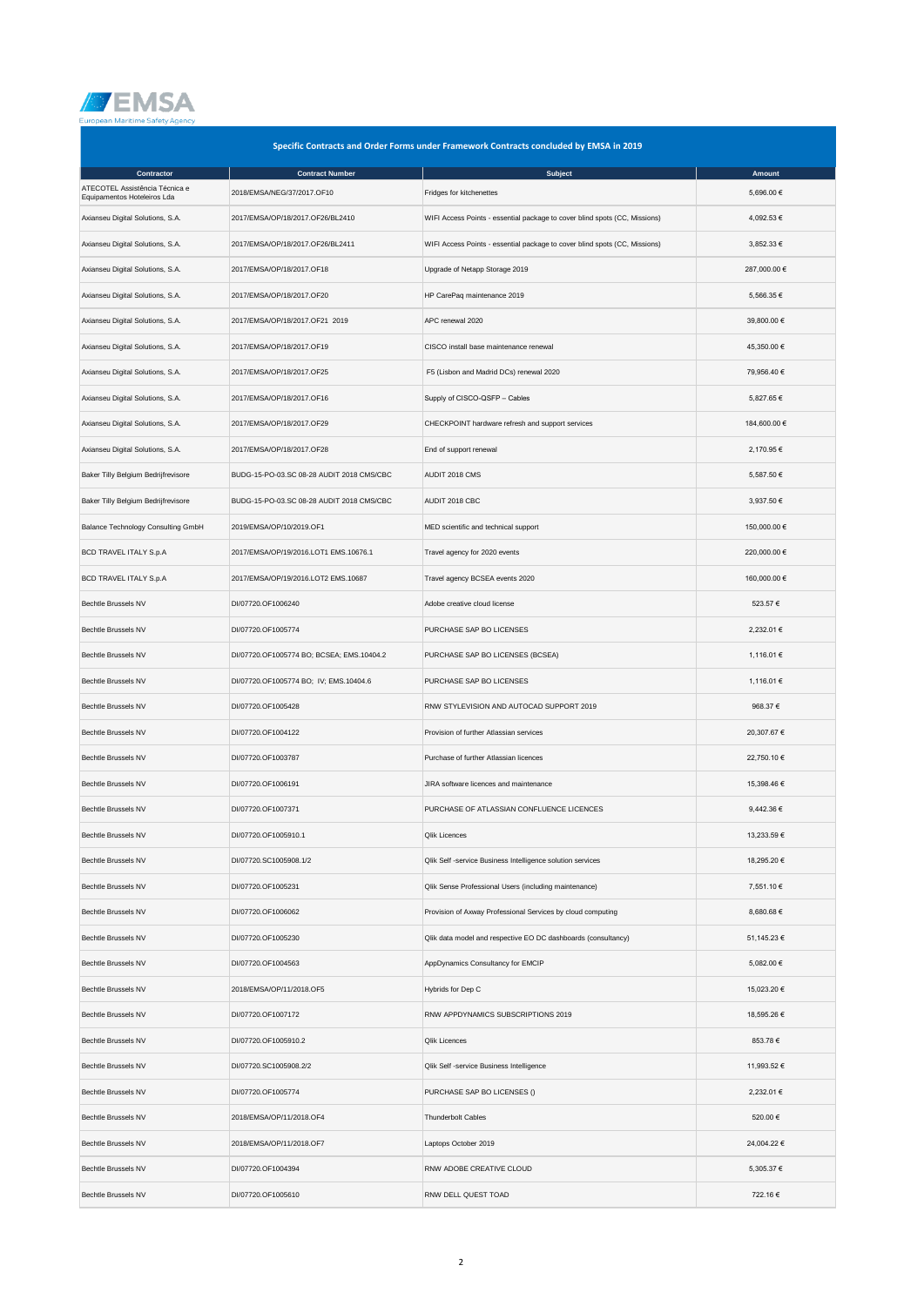

|                                                               | Specific Contracts and Order Forms under Framework Contracts concluded by EMSA in 2019 |                                                                            |              |  |  |
|---------------------------------------------------------------|----------------------------------------------------------------------------------------|----------------------------------------------------------------------------|--------------|--|--|
| Contractor                                                    | <b>Contract Number</b>                                                                 | <b>Subject</b>                                                             | Amount       |  |  |
| ATECOTEL Assistência Técnica e<br>Equipamentos Hoteleiros Lda | 2018/EMSA/NEG/37/2017.OF10                                                             | Fridges for kitchenettes                                                   | 5,696.00 €   |  |  |
| Axianseu Digital Solutions, S.A.                              | 2017/EMSA/OP/18/2017.OF26/BL2410                                                       | WIFI Access Points - essential package to cover blind spots (CC, Missions) | 4,092.53 €   |  |  |
| Axianseu Digital Solutions, S.A.                              | 2017/EMSA/OP/18/2017.OF26/BL2411                                                       | WIFI Access Points - essential package to cover blind spots (CC, Missions) | 3,852.33 €   |  |  |
| Axianseu Digital Solutions, S.A.                              | 2017/EMSA/OP/18/2017.OF18                                                              | Upgrade of Netapp Storage 2019                                             | 287,000.00 € |  |  |
| Axianseu Digital Solutions, S.A.                              | 2017/EMSA/OP/18/2017.OF20                                                              | HP CarePaq maintenance 2019                                                | 5,566.35 €   |  |  |
| Axianseu Digital Solutions, S.A.                              | 2017/EMSA/OP/18/2017.OF21 2019                                                         | APC renewal 2020                                                           | 39,800.00 €  |  |  |
| Axianseu Digital Solutions, S.A.                              | 2017/EMSA/OP/18/2017.OF19                                                              | CISCO install base maintenance renewal                                     | 45,350.00 €  |  |  |
| Axianseu Digital Solutions, S.A.                              | 2017/EMSA/OP/18/2017.OF25                                                              | F5 (Lisbon and Madrid DCs) renewal 2020                                    | 79,956.40 €  |  |  |
| Axianseu Digital Solutions, S.A.                              | 2017/EMSA/OP/18/2017.OF16                                                              | Supply of CISCO-QSFP - Cables                                              | 5,827.65 €   |  |  |
| Axianseu Digital Solutions, S.A.                              | 2017/EMSA/OP/18/2017.OF29                                                              | CHECKPOINT hardware refresh and support services                           | 184,600.00 € |  |  |
| Axianseu Digital Solutions, S.A.                              | 2017/EMSA/OP/18/2017.OF28                                                              | End of support renewal                                                     | 2.170.95 €   |  |  |
| Baker Tilly Belgium Bedrijfrevisore                           | BUDG-15-PO-03.SC 08-28 AUDIT 2018 CMS/CBC                                              | AUDIT 2018 CMS                                                             | 5,587.50 €   |  |  |
| Baker Tilly Belgium Bedrijfrevisore                           | BUDG-15-PO-03.SC 08-28 AUDIT 2018 CMS/CBC                                              | AUDIT 2018 CBC                                                             | 3,937.50 €   |  |  |
| Balance Technology Consulting GmbH                            | 2019/EMSA/OP/10/2019.OF1                                                               | MED scientific and technical support                                       | 150,000.00 € |  |  |
| BCD TRAVEL ITALY S.p.A                                        | 2017/EMSA/OP/19/2016.LOT1 EMS.10676.1                                                  | Travel agency for 2020 events                                              | 220,000.00 € |  |  |
| BCD TRAVEL ITALY S.p.A                                        | 2017/EMSA/OP/19/2016.LOT2 EMS.10687                                                    | Travel agency BCSEA events 2020                                            | 160,000.00 € |  |  |
| Bechtle Brussels NV                                           | DI/07720.OF1006240                                                                     | Adobe creative cloud license                                               | 523.57 €     |  |  |
| Bechtle Brussels NV                                           | DI/07720.OF1005774                                                                     | PURCHASE SAP BO LICENSES                                                   | 2,232.01 €   |  |  |
| Bechtle Brussels NV                                           | DI/07720.OF1005774 BO; BCSEA; EMS.10404.2                                              | PURCHASE SAP BO LICENSES (BCSEA)                                           | 1,116.01 €   |  |  |
| Bechtle Brussels NV                                           | DI/07720.OF1005774 BO; IV; EMS.10404.6                                                 | PURCHASE SAP BO LICENSES                                                   | 1,116.01 €   |  |  |
| Bechtle Brussels NV                                           | DI/07720.OF1005428                                                                     | RNW STYLEVISION AND AUTOCAD SUPPORT 2019                                   | 968.37 €     |  |  |
| <b>Bechtle Brussels NV</b>                                    | DI/07720.OF1004122                                                                     | Provision of further Atlassian services                                    | 20,307.67 €  |  |  |
| Bechtle Brussels NV                                           | DI/07720.OF1003787                                                                     | Purchase of further Atlassian licences                                     | 22,750.10 €  |  |  |
| Bechtle Brussels NV                                           | DI/07720.OF1006191                                                                     | JIRA software licences and maintenance                                     | 15,398.46 €  |  |  |
| Bechtle Brussels NV                                           | DI/07720.OF1007371                                                                     | PURCHASE OF ATLASSIAN CONFLUENCE LICENCES                                  | 9,442.36 €   |  |  |
| Bechtle Brussels NV                                           | DI/07720.OF1005910.1                                                                   | <b>Qlik Licences</b>                                                       | 13,233.59€   |  |  |
| Bechtle Brussels NV                                           | DI/07720.SC1005908.1/2                                                                 | Qlik Self -service Business Intelligence solution services                 | 18,295.20 €  |  |  |
| Bechtle Brussels NV                                           | DI/07720.OF1005231                                                                     | Qlik Sense Professional Users (including maintenance)                      | 7,551.10 €   |  |  |
| Bechtle Brussels NV                                           | DI/07720.OF1006062                                                                     | Provision of Axway Professional Services by cloud computing                | 8,680.68 €   |  |  |
| <b>Bechtle Brussels NV</b>                                    | DI/07720.OF1005230                                                                     | Qlik data model and respective EO DC dashboards (consultancy)              | 51,145.23 €  |  |  |
| Bechtle Brussels NV                                           | DI/07720.OF1004563                                                                     | AppDynamics Consultancy for EMCIP                                          | 5,082.00 €   |  |  |
| Bechtle Brussels NV                                           | 2018/EMSA/OP/11/2018.OF5                                                               | Hybrids for Dep C                                                          | 15,023.20 €  |  |  |
| Bechtle Brussels NV                                           | DI/07720.OF1007172                                                                     | RNW APPDYNAMICS SUBSCRIPTIONS 2019                                         | 18,595.26 €  |  |  |
| Bechtle Brussels NV                                           | DI/07720.OF1005910.2                                                                   | <b>Qlik Licences</b>                                                       | 853.78€      |  |  |
| Bechtle Brussels NV                                           | DI/07720.SC1005908.2/2                                                                 | Qlik Self -service Business Intelligence                                   | 11,993.52 €  |  |  |
| Bechtle Brussels NV                                           | DI/07720.OF1005774                                                                     | PURCHASE SAP BO LICENSES ()                                                | 2,232.01 €   |  |  |
| <b>Bechtle Brussels NV</b>                                    | 2018/EMSA/OP/11/2018.OF4                                                               | <b>Thunderbolt Cables</b>                                                  | 520.00 €     |  |  |
| Bechtle Brussels NV                                           | 2018/EMSA/OP/11/2018.OF7                                                               | Laptops October 2019                                                       | 24,004.22 €  |  |  |
| Bechtle Brussels NV                                           | DI/07720.OF1004394                                                                     | RNW ADOBE CREATIVE CLOUD                                                   | 5,305.37 €   |  |  |
| Bechtle Brussels NV                                           | DI/07720.OF1005610                                                                     | RNW DELL QUEST TOAD                                                        | 722.16€      |  |  |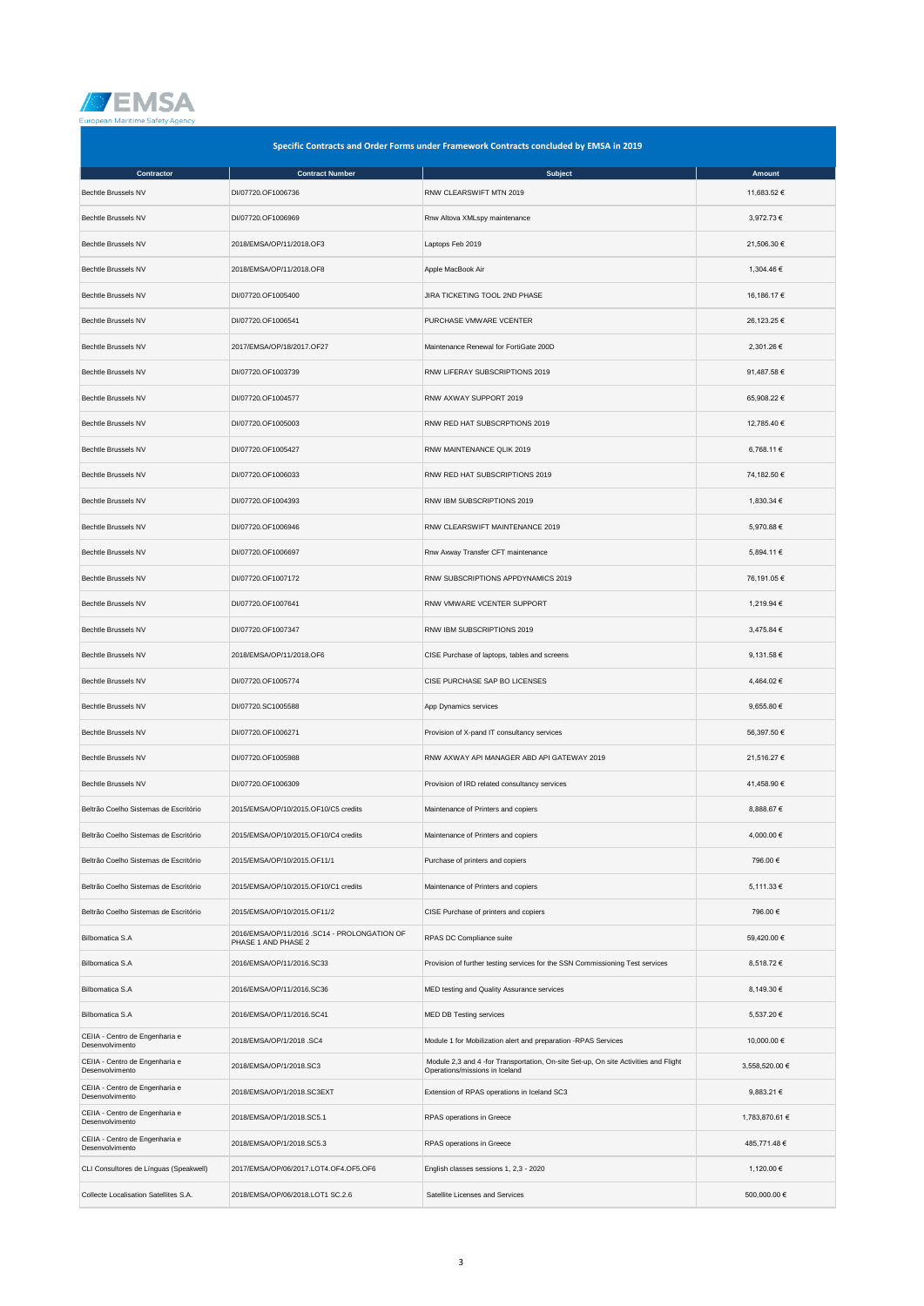

| Specific Contracts and Order Forms under Framework Contracts concluded by EMSA in 2019 |                                                                     |                                                                                                                       |                |  |
|----------------------------------------------------------------------------------------|---------------------------------------------------------------------|-----------------------------------------------------------------------------------------------------------------------|----------------|--|
| Contractor                                                                             | <b>Contract Number</b>                                              | Subject                                                                                                               | Amount         |  |
| Bechtle Brussels NV                                                                    | DI/07720.OF1006736                                                  | RNW CLEARSWIFT MTN 2019                                                                                               | 11,683.52 €    |  |
| Bechtle Brussels NV                                                                    | DI/07720.OF1006969                                                  | Rnw Altova XMLspy maintenance                                                                                         | 3,972.73 €     |  |
| <b>Bechtle Brussels NV</b>                                                             | 2018/EMSA/OP/11/2018.OF3                                            | Laptops Feb 2019                                                                                                      | 21,506.30 €    |  |
| Bechtle Brussels NV                                                                    | 2018/EMSA/OP/11/2018.OF8                                            | Apple MacBook Air                                                                                                     | 1,304.46 €     |  |
| <b>Bechtle Brussels NV</b>                                                             | DI/07720.OF1005400                                                  | JIRA TICKETING TOOL 2ND PHASE                                                                                         | 16,186.17 €    |  |
| Bechtle Brussels NV                                                                    | DI/07720.OF1006541                                                  | PURCHASE VMWARE VCENTER                                                                                               | 26,123.25 €    |  |
| Bechtle Brussels NV                                                                    | 2017/EMSA/OP/18/2017.OF27                                           | Maintenance Renewal for FortiGate 200D                                                                                | 2,301.26 €     |  |
| Bechtle Brussels NV                                                                    | DI/07720.OF1003739                                                  | RNW LIFERAY SUBSCRIPTIONS 2019                                                                                        | 91,487.58 €    |  |
| Bechtle Brussels NV                                                                    | DI/07720.OF1004577                                                  | RNW AXWAY SUPPORT 2019                                                                                                | 65,908.22 €    |  |
| Bechtle Brussels NV                                                                    | DI/07720.OF1005003                                                  | RNW RED HAT SUBSCRPTIONS 2019                                                                                         | 12,785.40 €    |  |
| Bechtle Brussels NV                                                                    | DI/07720.OF1005427                                                  | RNW MAINTENANCE QLIK 2019                                                                                             | 6,768.11 €     |  |
| <b>Bechtle Brussels NV</b>                                                             | DI/07720.OF1006033                                                  | RNW RED HAT SUBSCRIPTIONS 2019                                                                                        | 74,182.50 €    |  |
| Bechtle Brussels NV                                                                    | DI/07720.OF1004393                                                  | RNW IBM SUBSCRIPTIONS 2019                                                                                            | 1,830.34 €     |  |
| Bechtle Brussels NV                                                                    | DI/07720.OF1006946                                                  | RNW CLEARSWIFT MAINTENANCE 2019                                                                                       | 5,970.88 €     |  |
| Bechtle Brussels NV                                                                    | DI/07720.OF1006697                                                  | Rnw Axway Transfer CFT maintenance                                                                                    | 5,894.11 €     |  |
| Bechtle Brussels NV                                                                    | DI/07720.OF1007172                                                  | RNW SUBSCRIPTIONS APPDYNAMICS 2019                                                                                    | 76,191.05 €    |  |
| Bechtle Brussels NV                                                                    | DI/07720.OF1007641                                                  | RNW VMWARE VCENTER SUPPORT                                                                                            | 1,219.94 €     |  |
| Bechtle Brussels NV                                                                    | DI/07720.OF1007347                                                  | RNW IBM SUBSCRIPTIONS 2019                                                                                            | 3,475.84 €     |  |
| Bechtle Brussels NV                                                                    | 2018/EMSA/OP/11/2018.OF6                                            | CISE Purchase of laptops, tables and screens                                                                          | 9,131.58 €     |  |
| Bechtle Brussels NV                                                                    | DI/07720.OF1005774                                                  | CISE PURCHASE SAP BO LICENSES                                                                                         | 4,464.02 €     |  |
| Bechtle Brussels NV                                                                    | DI/07720.SC1005588                                                  | App Dynamics services                                                                                                 | 9,655.80 €     |  |
| Bechtle Brussels NV                                                                    | DI/07720.OF1006271                                                  | Provision of X-pand IT consultancy services                                                                           | 56,397.50 €    |  |
| Bechtle Brussels NV                                                                    | DI/07720.OF1005988                                                  | RNW AXWAY API MANAGER ABD API GATEWAY 2019                                                                            | 21,516.27 €    |  |
| Bechtle Brussels NV                                                                    | DI/07720.OF1006309                                                  | Provision of IRD related consultancy services                                                                         | 41,458.90 €    |  |
| Beltrão Coelho Sistemas de Escritório                                                  | 2015/EMSA/OP/10/2015.OF10/C5 credits                                | Maintenance of Printers and copiers                                                                                   | 8,888.67 €     |  |
| Beltrão Coelho Sistemas de Escritório                                                  | 2015/EMSA/OP/10/2015.OF10/C4 credits                                | Maintenance of Printers and copiers                                                                                   | 4,000.00 €     |  |
| Beltrão Coelho Sistemas de Escritório                                                  | 2015/EMSA/OP/10/2015.OF11/1                                         | Purchase of printers and copiers                                                                                      | 796.00€        |  |
| Beltrão Coelho Sistemas de Escritório                                                  | 2015/EMSA/OP/10/2015.OF10/C1 credits                                | Maintenance of Printers and copiers                                                                                   | 5,111.33 €     |  |
| Beltrão Coelho Sistemas de Escritório                                                  | 2015/EMSA/OP/10/2015.OF11/2                                         | CISE Purchase of printers and copiers                                                                                 | 796.00 €       |  |
| Bilbomatica S.A                                                                        | 2016/EMSA/OP/11/2016 .SC14 - PROLONGATION OF<br>PHASE 1 AND PHASE 2 | RPAS DC Compliance suite                                                                                              | 59,420.00 €    |  |
| Bilbomatica S.A                                                                        | 2016/EMSA/OP/11/2016.SC33                                           | Provision of further testing services for the SSN Commissioning Test services                                         | 8,518.72 €     |  |
| Bilbomatica S.A                                                                        | 2016/EMSA/OP/11/2016.SC36                                           | MED testing and Quality Assurance services                                                                            | 8,149.30 €     |  |
| Bilbomatica S.A                                                                        | 2016/EMSA/OP/11/2016.SC41                                           | MED DB Testing services                                                                                               | 5,537.20 €     |  |
| CEIIA - Centro de Engenharia e<br>Desenvolvimento                                      | 2018/EMSA/OP/1/2018.SC4                                             | Module 1 for Mobilization alert and preparation -RPAS Services                                                        | 10,000.00 €    |  |
| CEIIA - Centro de Engenharia e<br>Desenvolvimento                                      | 2018/EMSA/OP/1/2018.SC3                                             | Module 2,3 and 4 -for Transportation, On-site Set-up, On site Activities and Flight<br>Operations/missions in Iceland | 3,558,520.00 € |  |
| CEIIA - Centro de Engenharia e<br>Desenvolvimento                                      | 2018/EMSA/OP/1/2018.SC3EXT                                          | Extension of RPAS operations in Iceland SC3                                                                           | 9,883.21 €     |  |
| CEIIA - Centro de Engenharia e<br>Desenvolvimento                                      | 2018/EMSA/OP/1/2018.SC5.1                                           | RPAS operations in Greece                                                                                             | 1,783,870.61 € |  |
| CEIIA - Centro de Engenharia e<br>Desenvolvimento                                      | 2018/EMSA/OP/1/2018.SC5.3                                           | RPAS operations in Greece                                                                                             | 485,771.48 €   |  |
| CLI Consultores de Línguas (Speakwell)                                                 | 2017/EMSA/OP/06/2017.LOT4.OF4.OF5.OF6                               | English classes sessions 1, 2,3 - 2020                                                                                | 1,120.00 €     |  |
| Collecte Localisation Satellites S.A.                                                  | 2018/EMSA/OP/06/2018.LOT1 SC.2.6                                    | Satellite Licenses and Services                                                                                       | 500,000.00 €   |  |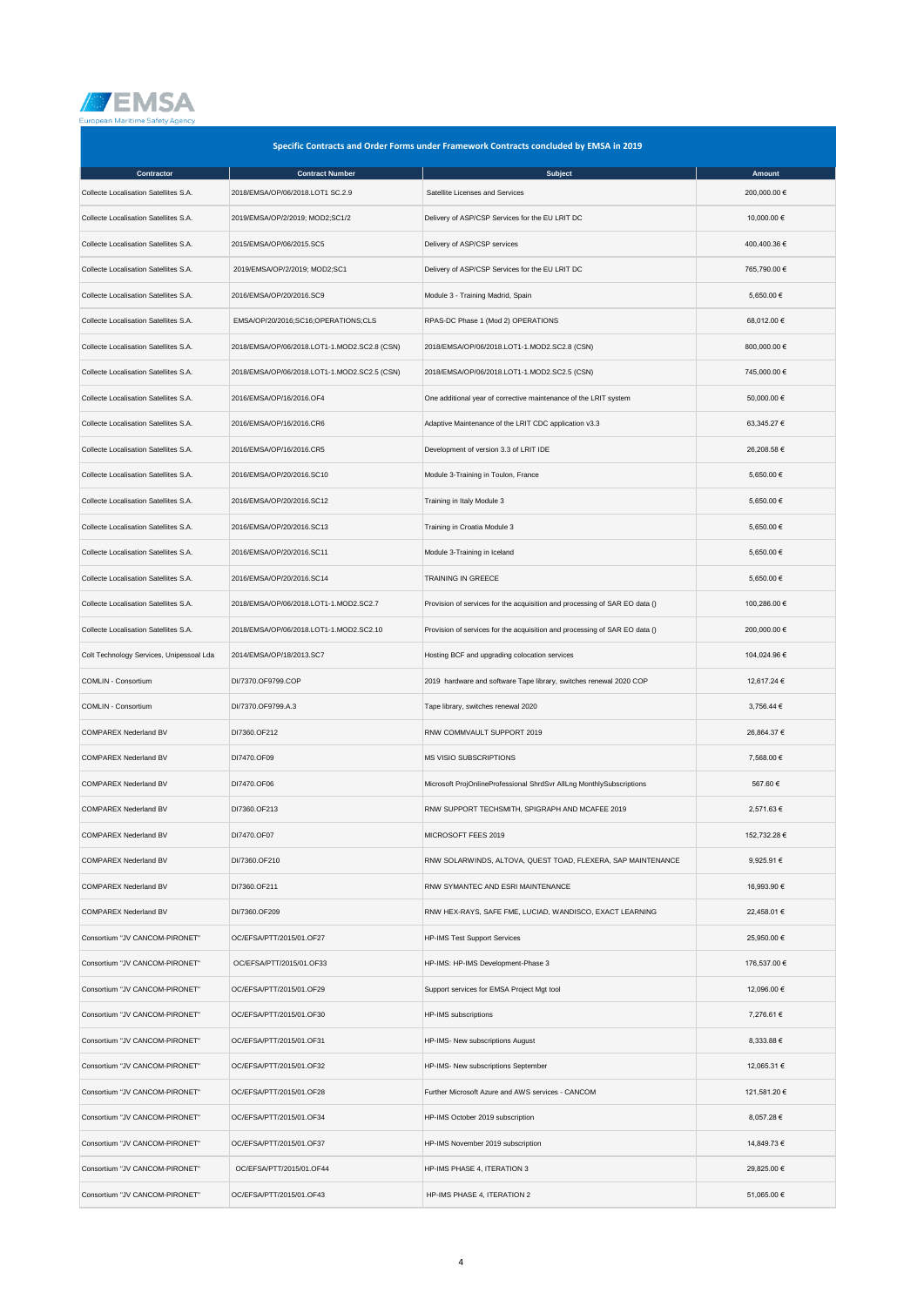

| Specific Contracts and Order Forms under Framework Contracts concluded by EMSA in 2019 |                                              |                                                                            |              |  |
|----------------------------------------------------------------------------------------|----------------------------------------------|----------------------------------------------------------------------------|--------------|--|
| Contractor                                                                             | <b>Contract Number</b>                       | Subject                                                                    | Amount       |  |
| Collecte Localisation Satellites S.A.                                                  | 2018/EMSA/OP/06/2018.LOT1 SC.2.9             | Satellite Licenses and Services                                            | 200,000.00 € |  |
| Collecte Localisation Satellites S.A.                                                  | 2019/EMSA/OP/2/2019; MOD2;SC1/2              | Delivery of ASP/CSP Services for the EU LRIT DC                            | 10,000.00 €  |  |
| Collecte Localisation Satellites S.A.                                                  | 2015/EMSA/OP/06/2015.SC5                     | Delivery of ASP/CSP services                                               | 400,400.36 € |  |
| Collecte Localisation Satellites S.A.                                                  | 2019/EMSA/OP/2/2019; MOD2;SC1                | Delivery of ASP/CSP Services for the EU LRIT DC                            | 765,790.00 € |  |
| Collecte Localisation Satellites S.A.                                                  | 2016/EMSA/OP/20/2016.SC9                     | Module 3 - Training Madrid, Spain                                          | 5,650.00 €   |  |
| Collecte Localisation Satellites S.A.                                                  | EMSA/OP/20/2016;SC16;OPERATIONS;CLS          | RPAS-DC Phase 1 (Mod 2) OPERATIONS                                         | 68,012.00 €  |  |
| Collecte Localisation Satellites S.A.                                                  | 2018/EMSA/OP/06/2018.LOT1-1.MOD2.SC2.8 (CSN) | 2018/EMSA/OP/06/2018.LOT1-1.MOD2.SC2.8 (CSN)                               | 800,000.00 € |  |
| Collecte Localisation Satellites S.A.                                                  | 2018/EMSA/OP/06/2018.LOT1-1.MOD2.SC2.5 (CSN) | 2018/EMSA/OP/06/2018.LOT1-1.MOD2.SC2.5 (CSN)                               | 745,000.00 € |  |
| Collecte Localisation Satellites S.A.                                                  | 2016/EMSA/OP/16/2016.OF4                     | One additional year of corrective maintenance of the LRIT system           | 50,000.00 €  |  |
| Collecte Localisation Satellites S.A.                                                  | 2016/EMSA/OP/16/2016.CR6                     | Adaptive Maintenance of the LRIT CDC application v3.3                      | 63,345.27 €  |  |
| Collecte Localisation Satellites S.A.                                                  | 2016/EMSA/OP/16/2016.CR5                     | Development of version 3.3 of LRIT IDE                                     | 26,208.58 €  |  |
| Collecte Localisation Satellites S.A.                                                  | 2016/EMSA/OP/20/2016.SC10                    | Module 3-Training in Toulon, France                                        | 5,650.00 €   |  |
| Collecte Localisation Satellites S.A.                                                  | 2016/EMSA/OP/20/2016.SC12                    | Training in Italy Module 3                                                 | 5,650.00 €   |  |
| Collecte Localisation Satellites S.A.                                                  | 2016/EMSA/OP/20/2016.SC13                    | Training in Croatia Module 3                                               | 5,650.00 €   |  |
| Collecte Localisation Satellites S.A.                                                  | 2016/EMSA/OP/20/2016.SC11                    | Module 3-Training in Iceland                                               | 5,650.00 €   |  |
| Collecte Localisation Satellites S.A.                                                  | 2016/EMSA/OP/20/2016.SC14                    | <b>TRAINING IN GREECE</b>                                                  | 5,650.00 €   |  |
| Collecte Localisation Satellites S.A.                                                  | 2018/EMSA/OP/06/2018.LOT1-1.MOD2.SC2.7       | Provision of services for the acquisition and processing of SAR EO data () | 100,286.00 € |  |
| Collecte Localisation Satellites S.A.                                                  | 2018/EMSA/OP/06/2018.LOT1-1.MOD2.SC2.10      | Provision of services for the acquisition and processing of SAR EO data () | 200,000.00 € |  |
| Colt Technology Services, Unipessoal Lda                                               | 2014/EMSA/OP/18/2013.SC7                     | Hosting BCF and upgrading colocation services                              | 104,024.96 € |  |
| COMLIN - Consortium                                                                    | DI/7370.OF9799.COP                           | 2019 hardware and software Tape library, switches renewal 2020 COP         | 12,617.24 €  |  |
| COMLIN - Consortium                                                                    | DI/7370.OF9799.A.3                           | Tape library, switches renewal 2020                                        | 3,756.44 €   |  |
| COMPAREX Nederland BV                                                                  | DI7360.OF212                                 | RNW COMMVAULT SUPPORT 2019                                                 | 26,864.37 €  |  |
| COMPAREX Nederland BV                                                                  | DI7470.OF09                                  | MS VISIO SUBSCRIPTIONS                                                     | 7,568.00 €   |  |
| COMPAREX Nederland BV                                                                  | DI7470.OF06                                  | Microsoft ProjOnlineProfessional ShrdSvr AllLng MonthlySubscriptions       | 567.60 €     |  |
| <b>COMPAREX Nederland BV</b>                                                           | DI7360.OF213                                 | RNW SUPPORT TECHSMITH, SPIGRAPH AND MCAFEE 2019                            | 2,571.63 €   |  |
| COMPAREX Nederland BV                                                                  | DI7470.OF07                                  | MICROSOFT FEES 2019                                                        | 152,732.28 € |  |
| COMPAREX Nederland BV                                                                  | DI/7360.OF210                                | RNW SOLARWINDS, ALTOVA, QUEST TOAD, FLEXERA, SAP MAINTENANCE               | 9,925.91 €   |  |
| COMPAREX Nederland BV                                                                  | DI7360.OF211                                 | RNW SYMANTEC AND ESRI MAINTENANCE                                          | 16,993.90 €  |  |
| COMPAREX Nederland BV                                                                  | DI/7360.OF209                                | RNW HEX-RAYS, SAFE FME, LUCIAD, WANDISCO, EXACT LEARNING                   | 22,458.01 €  |  |
| Consortium "JV CANCOM-PIRONET"                                                         | OC/EFSA/PTT/2015/01.OF27                     | <b>HP-IMS Test Support Services</b>                                        | 25,950.00 €  |  |
| Consortium "JV CANCOM-PIRONET"                                                         | OC/EFSA/PTT/2015/01.OF33                     | HP-IMS: HP-IMS Development-Phase 3                                         | 176,537.00 € |  |
| Consortium "JV CANCOM-PIRONET"                                                         | OC/EFSA/PTT/2015/01.OF29                     | Support services for EMSA Project Mgt tool                                 | 12,096.00 €  |  |
| Consortium "JV CANCOM-PIRONET"                                                         | OC/EFSA/PTT/2015/01.OF30                     | HP-IMS subscriptions                                                       | 7,276.61 €   |  |
| Consortium "JV CANCOM-PIRONET"                                                         | OC/EFSA/PTT/2015/01.OF31                     | HP-IMS- New subscriptions August                                           | 8,333.88 €   |  |
| Consortium "JV CANCOM-PIRONET"                                                         | OC/EFSA/PTT/2015/01.OF32                     | HP-IMS- New subscriptions September                                        | 12,065.31 €  |  |
| Consortium "JV CANCOM-PIRONET"                                                         | OC/EFSA/PTT/2015/01.OF28                     | Further Microsoft Azure and AWS services - CANCOM                          | 121,581.20 € |  |
| Consortium "JV CANCOM-PIRONET"                                                         | OC/EFSA/PTT/2015/01.OF34                     | HP-IMS October 2019 subscription                                           | 8,057.28 €   |  |
| Consortium "JV CANCOM-PIRONET"                                                         | OC/EFSA/PTT/2015/01.OF37                     | HP-IMS November 2019 subscription                                          | 14,849.73 €  |  |
| Consortium "JV CANCOM-PIRONET"                                                         | OC/EFSA/PTT/2015/01.OF44                     | HP-IMS PHASE 4, ITERATION 3                                                | 29,825.00 €  |  |
| Consortium "JV CANCOM-PIRONET"                                                         | OC/EFSA/PTT/2015/01.OF43                     | HP-IMS PHASE 4, ITERATION 2                                                | 51,065.00 €  |  |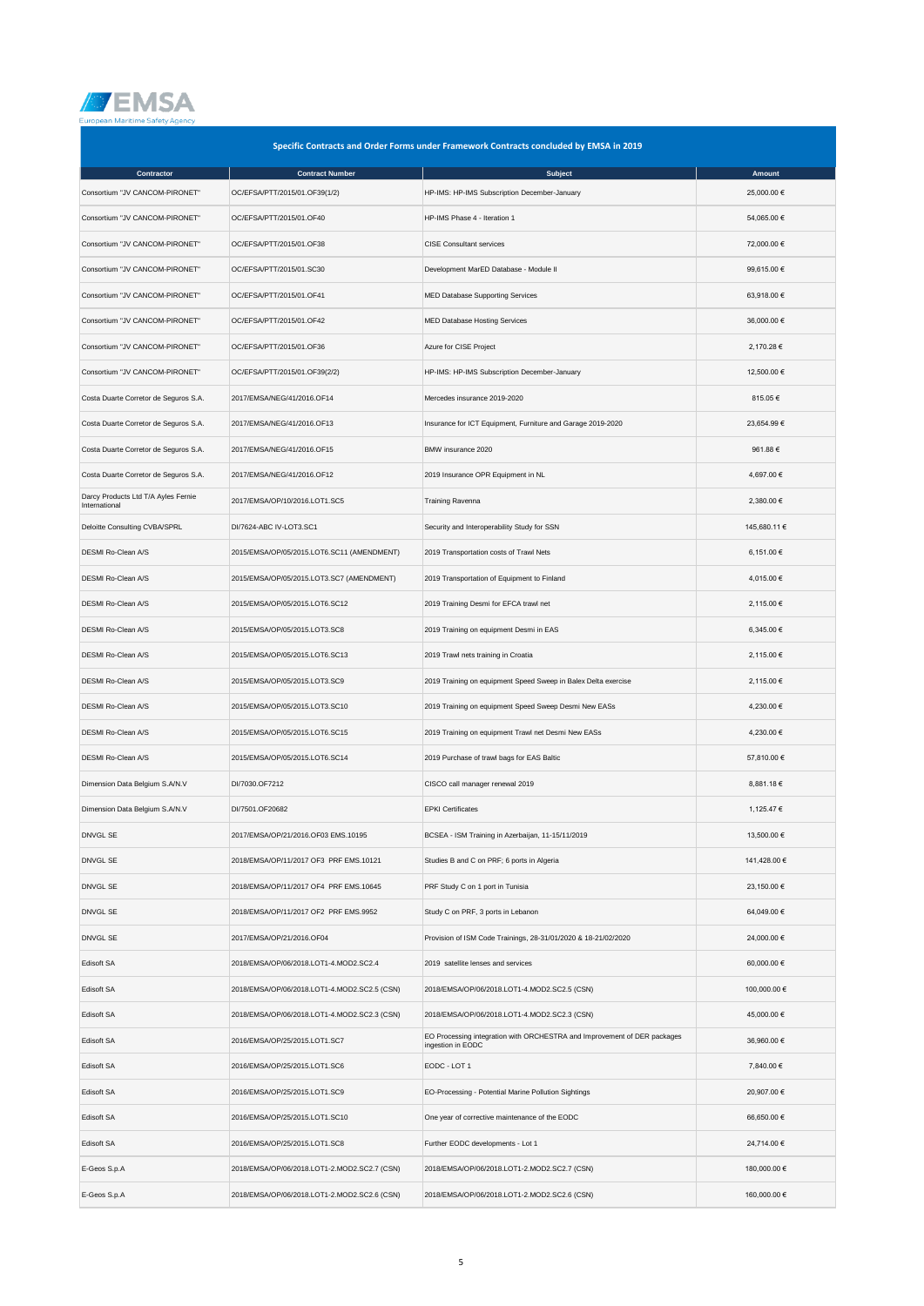

| Specific Contracts and Order Forms under Framework Contracts concluded by EMSA in 2019 |                                              |                                                                                               |              |  |
|----------------------------------------------------------------------------------------|----------------------------------------------|-----------------------------------------------------------------------------------------------|--------------|--|
| Contractor                                                                             | <b>Contract Number</b>                       | <b>Subject</b>                                                                                | Amount       |  |
| Consortium "JV CANCOM-PIRONET"                                                         | OC/EFSA/PTT/2015/01.OF39(1/2)                | HP-IMS: HP-IMS Subscription December-January                                                  | 25,000.00 €  |  |
| Consortium "JV CANCOM-PIRONET"                                                         | OC/EFSA/PTT/2015/01.OF40                     | HP-IMS Phase 4 - Iteration 1                                                                  | 54,065.00 €  |  |
| Consortium "JV CANCOM-PIRONET"                                                         | OC/EFSA/PTT/2015/01.OF38                     | <b>CISE Consultant services</b>                                                               | 72,000.00 €  |  |
| Consortium "JV CANCOM-PIRONET"                                                         | OC/EFSA/PTT/2015/01.SC30                     | Development MarED Database - Module II                                                        | 99,615.00 €  |  |
| Consortium "JV CANCOM-PIRONET"                                                         | OC/EFSA/PTT/2015/01.OF41                     | MED Database Supporting Services                                                              | 63,918.00 €  |  |
| Consortium "JV CANCOM-PIRONET"                                                         | OC/EFSA/PTT/2015/01.OF42                     | MED Database Hosting Services                                                                 | 36,000.00 €  |  |
| Consortium "JV CANCOM-PIRONET"                                                         | OC/EFSA/PTT/2015/01.OF36                     | Azure for CISE Project                                                                        | 2,170.28 €   |  |
| Consortium "JV CANCOM-PIRONET"                                                         | OC/EFSA/PTT/2015/01.OF39(2/2)                | HP-IMS: HP-IMS Subscription December-January                                                  | 12,500.00 €  |  |
| Costa Duarte Corretor de Seguros S.A.                                                  | 2017/EMSA/NEG/41/2016.OF14                   | Mercedes insurance 2019-2020                                                                  | 815.05 €     |  |
| Costa Duarte Corretor de Seguros S.A.                                                  | 2017/EMSA/NEG/41/2016.OF13                   | Insurance for ICT Equipment, Furniture and Garage 2019-2020                                   | 23,654.99 €  |  |
| Costa Duarte Corretor de Seguros S.A.                                                  | 2017/EMSA/NEG/41/2016.OF15                   | BMW insurance 2020                                                                            | 961.88€      |  |
| Costa Duarte Corretor de Seguros S.A.                                                  | 2017/EMSA/NEG/41/2016.OF12                   | 2019 Insurance OPR Equipment in NL                                                            | 4,697.00 €   |  |
| Darcy Products Ltd T/A Ayles Fernie<br>International                                   | 2017/EMSA/OP/10/2016.LOT1.SC5                | Training Ravenna                                                                              | 2,380.00 €   |  |
| Deloitte Consulting CVBA/SPRL                                                          | DI/7624-ABC IV-LOT3.SC1                      | Security and Interoperability Study for SSN                                                   | 145,680.11 € |  |
| DESMI Ro-Clean A/S                                                                     | 2015/EMSA/OP/05/2015.LOT6.SC11 (AMENDMENT)   | 2019 Transportation costs of Trawl Nets                                                       | 6,151.00 €   |  |
| DESMI Ro-Clean A/S                                                                     | 2015/EMSA/OP/05/2015.LOT3.SC7 (AMENDMENT)    | 2019 Transportation of Equipment to Finland                                                   | 4,015.00 €   |  |
| DESMI Ro-Clean A/S                                                                     | 2015/EMSA/OP/05/2015.LOT6.SC12               | 2019 Training Desmi for EFCA trawl net                                                        | 2,115.00 €   |  |
| DESMI Ro-Clean A/S                                                                     | 2015/EMSA/OP/05/2015.LOT3.SC8                | 2019 Training on equipment Desmi in EAS                                                       | 6,345.00 €   |  |
| DESMI Ro-Clean A/S                                                                     | 2015/EMSA/OP/05/2015.LOT6.SC13               | 2019 Trawl nets training in Croatia                                                           | 2,115.00 €   |  |
| DESMI Ro-Clean A/S                                                                     | 2015/EMSA/OP/05/2015.LOT3.SC9                | 2019 Training on equipment Speed Sweep in Balex Delta exercise                                | 2,115.00 €   |  |
| DESMI Ro-Clean A/S                                                                     | 2015/EMSA/OP/05/2015.LOT3.SC10               | 2019 Training on equipment Speed Sweep Desmi New EASs                                         | 4,230.00 €   |  |
| <b>DESMI Ro-Clean A/S</b>                                                              | 2015/EMSA/OP/05/2015.LOT6.SC15               | 2019 Training on equipment Trawl net Desmi New EASs                                           | 4,230.00 €   |  |
| DESMI Ro-Clean A/S                                                                     | 2015/EMSA/OP/05/2015.LOT6.SC14               | 2019 Purchase of trawl bags for EAS Baltic                                                    | 57,810.00 €  |  |
| Dimension Data Belgium S.A/N.V                                                         | DI/7030.OF7212                               | CISCO call manager renewal 2019                                                               | 8,881.18 €   |  |
| Dimension Data Belgium S.A/N.V                                                         | DI/7501.OF20682                              | <b>EPKI Certificates</b>                                                                      | 1,125.47 €   |  |
| DNVGL SE                                                                               | 2017/EMSA/OP/21/2016.OF03 EMS.10195          | BCSEA - ISM Training in Azerbaijan, 11-15/11/2019                                             | 13,500.00 €  |  |
| DNVGL SE                                                                               | 2018/EMSA/OP/11/2017 OF3 PRF EMS.10121       | Studies B and C on PRF; 6 ports in Algeria                                                    | 141,428.00 € |  |
| DNVGL SE                                                                               | 2018/EMSA/OP/11/2017 OF4 PRF EMS.10645       | PRF Study C on 1 port in Tunisia                                                              | 23,150.00 €  |  |
| DNVGL SE                                                                               | 2018/EMSA/OP/11/2017 OF2 PRF EMS.9952        | Study C on PRF, 3 ports in Lebanon                                                            | 64,049.00 €  |  |
| DNVGL SE                                                                               | 2017/EMSA/OP/21/2016.OF04                    | Provision of ISM Code Trainings, 28-31/01/2020 & 18-21/02/2020                                | 24,000.00 €  |  |
| Edisoft SA                                                                             | 2018/EMSA/OP/06/2018.LOT1-4.MOD2.SC2.4       | 2019 satellite lenses and services                                                            | 60,000.00 €  |  |
| Edisoft SA                                                                             | 2018/EMSA/OP/06/2018.LOT1-4.MOD2.SC2.5 (CSN) | 2018/EMSA/OP/06/2018.LOT1-4.MOD2.SC2.5 (CSN)                                                  | 100,000.00 € |  |
| Edisoft SA                                                                             | 2018/EMSA/OP/06/2018.LOT1-4.MOD2.SC2.3 (CSN) | 2018/EMSA/OP/06/2018.LOT1-4.MOD2.SC2.3 (CSN)                                                  | 45,000.00 €  |  |
| Edisoft SA                                                                             | 2016/EMSA/OP/25/2015.LOT1.SC7                | EO Processing integration with ORCHESTRA and Improvement of DER packages<br>ingestion in EODC | 36,960.00 €  |  |
| Edisoft SA                                                                             | 2016/EMSA/OP/25/2015.LOT1.SC6                | EODC - LOT 1                                                                                  | 7,840.00 €   |  |
| Edisoft SA                                                                             | 2016/EMSA/OP/25/2015.LOT1.SC9                | EO-Processing - Potential Marine Pollution Sightings                                          | 20,907.00 €  |  |
| Edisoft SA                                                                             | 2016/EMSA/OP/25/2015.LOT1.SC10               | One year of corrective maintenance of the EODC                                                | 66,650.00 €  |  |
| Edisoft SA                                                                             | 2016/EMSA/OP/25/2015.LOT1.SC8                | Further EODC developments - Lot 1                                                             | 24,714.00 €  |  |
| E-Geos S.p.A                                                                           | 2018/EMSA/OP/06/2018.LOT1-2.MOD2.SC2.7 (CSN) | 2018/EMSA/OP/06/2018.LOT1-2.MOD2.SC2.7 (CSN)                                                  | 180,000.00 € |  |
| E-Geos S.p.A                                                                           | 2018/EMSA/OP/06/2018.LOT1-2.MOD2.SC2.6 (CSN) | 2018/EMSA/OP/06/2018.LOT1-2.MOD2.SC2.6 (CSN)                                                  | 160,000.00 € |  |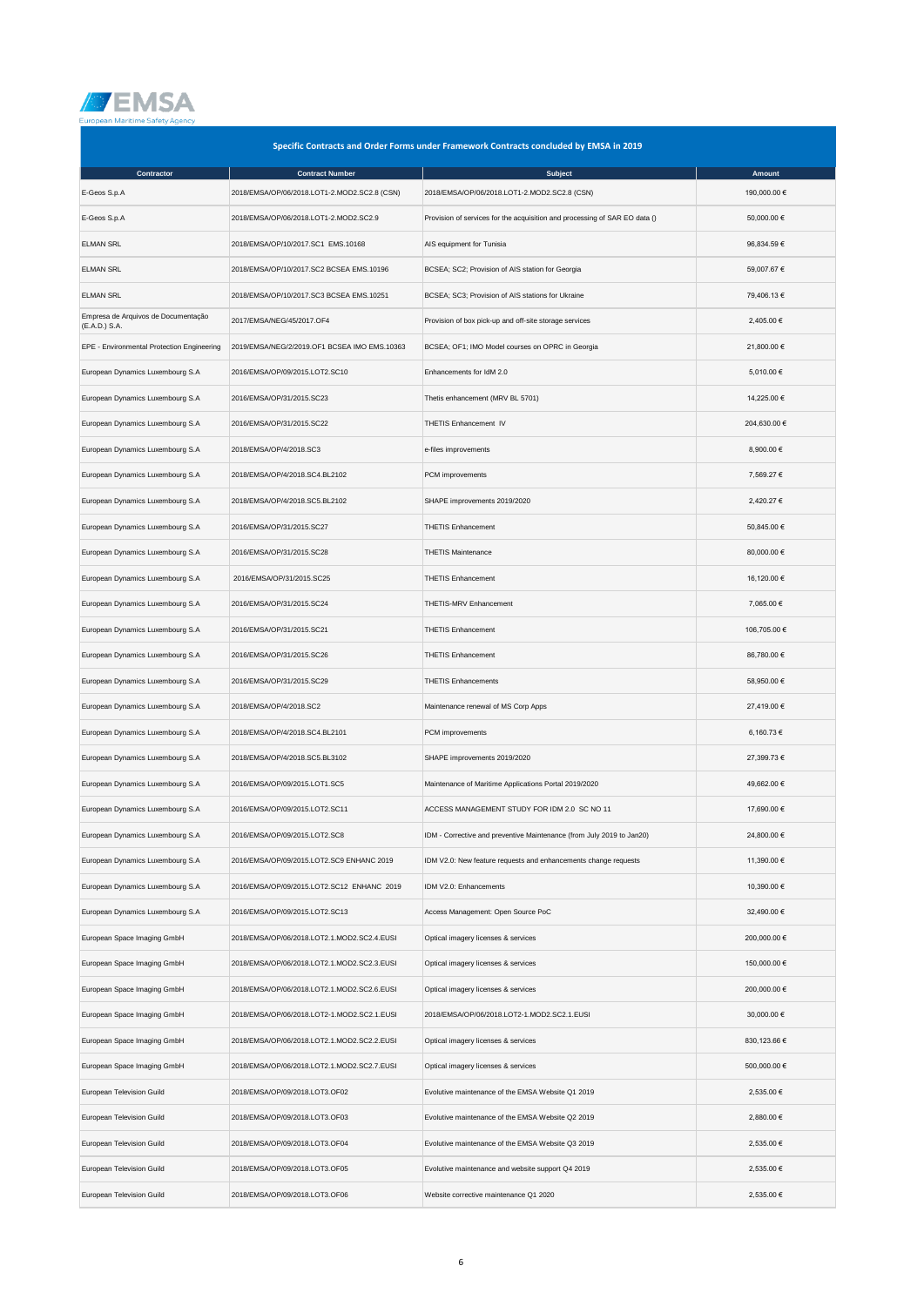

| Specific Contracts and Order Forms under Framework Contracts concluded by EMSA in 2019 |                                              |                                                                            |              |  |
|----------------------------------------------------------------------------------------|----------------------------------------------|----------------------------------------------------------------------------|--------------|--|
| Contractor                                                                             | <b>Contract Number</b>                       | <b>Subject</b>                                                             | Amount       |  |
| E-Geos S.p.A                                                                           | 2018/EMSA/OP/06/2018.LOT1-2.MOD2.SC2.8 (CSN) | 2018/EMSA/OP/06/2018.LOT1-2.MOD2.SC2.8 (CSN)                               | 190,000.00 € |  |
| E-Geos S.p.A                                                                           | 2018/EMSA/OP/06/2018.LOT1-2.MOD2.SC2.9       | Provision of services for the acquisition and processing of SAR EO data () | 50,000.00 €  |  |
| <b>ELMAN SRL</b>                                                                       | 2018/EMSA/OP/10/2017.SC1 EMS.10168           | AIS equipment for Tunisia                                                  | 96,834.59€   |  |
| <b>ELMAN SRL</b>                                                                       | 2018/EMSA/OP/10/2017.SC2 BCSEA EMS.10196     | BCSEA; SC2; Provision of AIS station for Georgia                           | 59,007.67 €  |  |
| <b>ELMAN SRL</b>                                                                       | 2018/EMSA/OP/10/2017.SC3 BCSEA EMS.10251     | BCSEA; SC3; Provision of AIS stations for Ukraine                          | 79,406.13 €  |  |
| Empresa de Arquivos de Documentação<br>(E.A.D.) S.A.                                   | 2017/EMSA/NEG/45/2017.OF4                    | Provision of box pick-up and off-site storage services                     | 2,405.00 €   |  |
| EPE - Environmental Protection Engineering                                             | 2019/EMSA/NEG/2/2019.OF1 BCSEA IMO EMS.10363 | BCSEA; OF1; IMO Model courses on OPRC in Georgia                           | 21,800.00 €  |  |
| European Dynamics Luxembourg S.A                                                       | 2016/EMSA/OP/09/2015.LOT2.SC10               | Enhancements for IdM 2.0                                                   | 5,010.00 €   |  |
| European Dynamics Luxembourg S.A                                                       | 2016/EMSA/OP/31/2015.SC23                    | Thetis enhancement (MRV BL 5701)                                           | 14,225.00 €  |  |
| European Dynamics Luxembourg S.A                                                       | 2016/EMSA/OP/31/2015.SC22                    | THETIS Enhancement IV                                                      | 204,630.00 € |  |
| European Dynamics Luxembourg S.A                                                       | 2018/EMSA/OP/4/2018.SC3                      | e-files improvements                                                       | 8,900.00 €   |  |
| European Dynamics Luxembourg S.A                                                       | 2018/EMSA/OP/4/2018.SC4.BL2102               | PCM improvements                                                           | 7,569.27 €   |  |
| European Dynamics Luxembourg S.A                                                       | 2018/EMSA/OP/4/2018.SC5.BL2102               | SHAPE improvements 2019/2020                                               | 2,420.27 €   |  |
| European Dynamics Luxembourg S.A                                                       | 2016/EMSA/OP/31/2015.SC27                    | <b>THETIS Enhancement</b>                                                  | 50,845.00 €  |  |
| European Dynamics Luxembourg S.A                                                       | 2016/EMSA/OP/31/2015.SC28                    | <b>THETIS Maintenance</b>                                                  | 80,000.00 €  |  |
| European Dynamics Luxembourg S.A                                                       | 2016/EMSA/OP/31/2015.SC25                    | <b>THETIS Enhancement</b>                                                  | 16,120.00 €  |  |
| European Dynamics Luxembourg S.A                                                       | 2016/EMSA/OP/31/2015.SC24                    | THETIS-MRV Enhancement                                                     | 7,065.00 €   |  |
| European Dynamics Luxembourg S.A                                                       | 2016/EMSA/OP/31/2015.SC21                    | <b>THETIS Enhancement</b>                                                  | 106,705.00 € |  |
| European Dynamics Luxembourg S.A                                                       | 2016/EMSA/OP/31/2015.SC26                    | <b>THETIS Enhancement</b>                                                  | 86,780.00 €  |  |
| European Dynamics Luxembourg S.A                                                       | 2016/EMSA/OP/31/2015.SC29                    | <b>THETIS Enhancements</b>                                                 | 58,950.00 €  |  |
| European Dynamics Luxembourg S.A                                                       | 2018/EMSA/OP/4/2018.SC2                      | Maintenance renewal of MS Corp Apps                                        | 27,419.00 €  |  |
| European Dynamics Luxembourg S.A                                                       | 2018/EMSA/OP/4/2018.SC4.BL2101               | PCM improvements                                                           | 6,160.73 €   |  |
| European Dynamics Luxembourg S.A                                                       | 2018/EMSA/OP/4/2018.SC5.BL3102               | SHAPE improvements 2019/2020                                               | 27,399.73 €  |  |
| European Dynamics Luxembourg S.A                                                       | 2016/EMSA/OP/09/2015.LOT1.SC5                | Maintenance of Maritime Applications Portal 2019/2020                      | 49,662.00 €  |  |
| European Dynamics Luxembourg S.A                                                       | 2016/EMSA/OP/09/2015.LOT2.SC11               | ACCESS MANAGEMENT STUDY FOR IDM 2.0 SC NO 11                               | 17,690.00 €  |  |
| European Dynamics Luxembourg S.A                                                       | 2016/EMSA/OP/09/2015.LOT2.SC8                | IDM - Corrective and preventive Maintenance (from July 2019 to Jan20)      | 24,800.00 €  |  |
| European Dynamics Luxembourg S.A                                                       | 2016/EMSA/OP/09/2015.LOT2.SC9 ENHANC 2019    | IDM V2.0: New feature requests and enhancements change requests            | 11,390.00 €  |  |
| European Dynamics Luxembourg S.A                                                       | 2016/EMSA/OP/09/2015.LOT2.SC12 ENHANC 2019   | IDM V2.0: Enhancements                                                     | 10,390.00 €  |  |
| European Dynamics Luxembourg S.A                                                       | 2016/EMSA/OP/09/2015.LOT2.SC13               | Access Management: Open Source PoC                                         | 32,490.00 €  |  |
| European Space Imaging GmbH                                                            | 2018/EMSA/OP/06/2018.LOT2.1.MOD2.SC2.4.EUSI  | Optical imagery licenses & services                                        | 200,000.00 € |  |
| European Space Imaging GmbH                                                            | 2018/EMSA/OP/06/2018.LOT2.1.MOD2.SC2.3.EUSI  | Optical imagery licenses & services                                        | 150,000.00 € |  |
| European Space Imaging GmbH                                                            | 2018/EMSA/OP/06/2018.LOT2.1.MOD2.SC2.6.EUSI  | Optical imagery licenses & services                                        | 200,000.00 € |  |
| European Space Imaging GmbH                                                            | 2018/EMSA/OP/06/2018.LOT2-1.MOD2.SC2.1.EUSI  | 2018/EMSA/OP/06/2018.LOT2-1.MOD2.SC2.1.EUSI                                | 30,000.00 €  |  |
| European Space Imaging GmbH                                                            | 2018/EMSA/OP/06/2018.LOT2.1.MOD2.SC2.2.EUSI  | Optical imagery licenses & services                                        | 830,123.66 € |  |
| European Space Imaging GmbH                                                            | 2018/EMSA/OP/06/2018.LOT2.1.MOD2.SC2.7.EUSI  | Optical imagery licenses & services                                        | 500,000.00 € |  |
| European Television Guild                                                              | 2018/EMSA/OP/09/2018.LOT3.OF02               | Evolutive maintenance of the EMSA Website Q1 2019                          | 2,535.00 €   |  |
| European Television Guild                                                              | 2018/EMSA/OP/09/2018.LOT3.OF03               | Evolutive maintenance of the EMSA Website Q2 2019                          | 2,880.00 €   |  |
| European Television Guild                                                              | 2018/EMSA/OP/09/2018.LOT3.OF04               | Evolutive maintenance of the EMSA Website Q3 2019                          | 2,535.00 €   |  |
| European Television Guild                                                              | 2018/EMSA/OP/09/2018.LOT3.OF05               | Evolutive maintenance and website support Q4 2019                          | 2,535.00 €   |  |
| European Television Guild                                                              | 2018/EMSA/OP/09/2018.LOT3.OF06               | Website corrective maintenance Q1 2020                                     | 2,535.00 €   |  |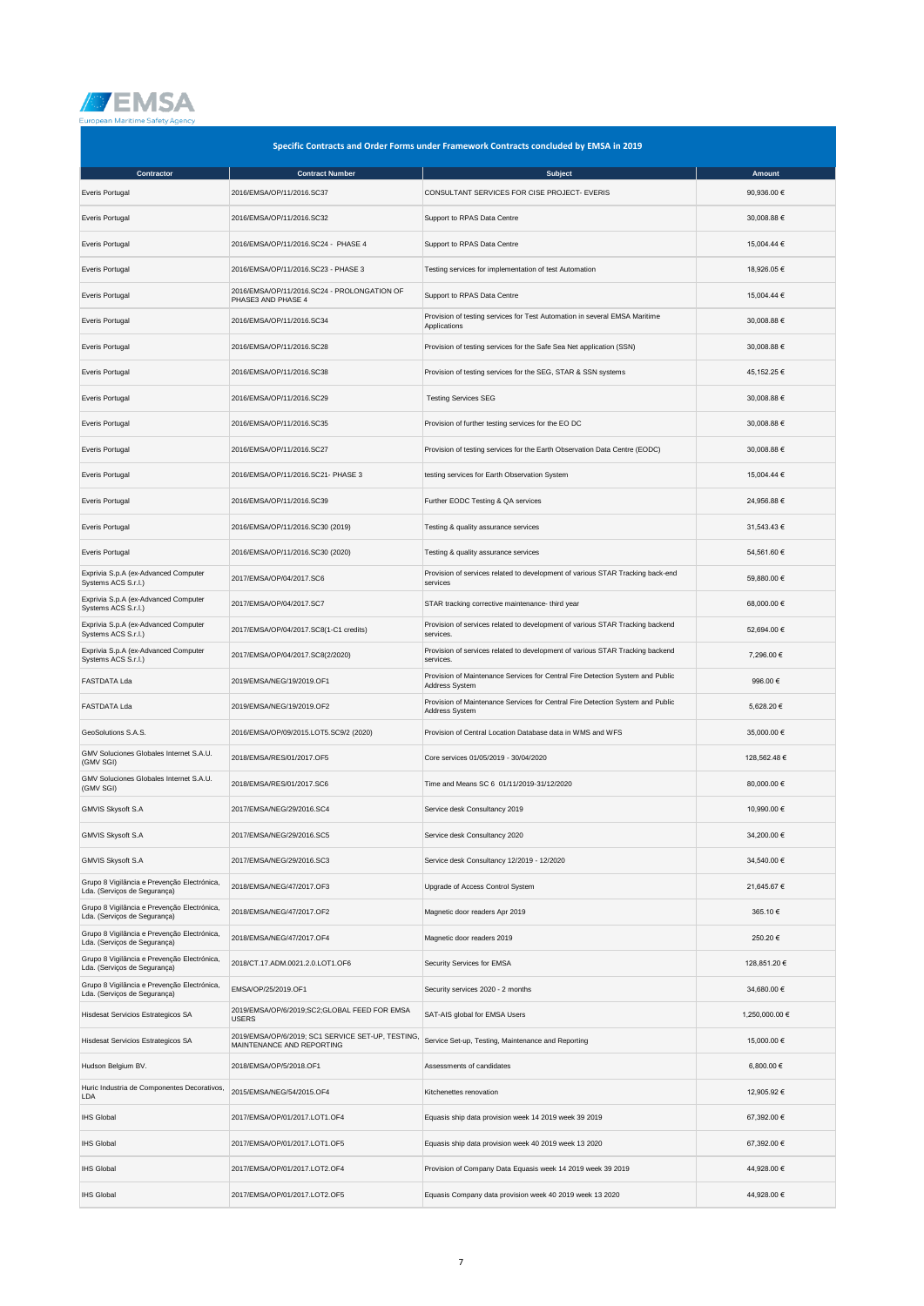

| Specific Contracts and Order Forms under Framework Contracts concluded by EMSA in 2019 |                                                                                |                                                                                                  |                |  |
|----------------------------------------------------------------------------------------|--------------------------------------------------------------------------------|--------------------------------------------------------------------------------------------------|----------------|--|
| Contractor                                                                             | <b>Contract Number</b>                                                         | <b>Subject</b>                                                                                   | Amount         |  |
| Everis Portugal                                                                        | 2016/EMSA/OP/11/2016.SC37                                                      | CONSULTANT SERVICES FOR CISE PROJECT- EVERIS                                                     | 90,936.00 €    |  |
| Everis Portugal                                                                        | 2016/EMSA/OP/11/2016.SC32                                                      | Support to RPAS Data Centre                                                                      | 30,008.88 €    |  |
| Everis Portugal                                                                        | 2016/EMSA/OP/11/2016.SC24 - PHASE 4                                            | Support to RPAS Data Centre                                                                      | 15,004.44 €    |  |
| Everis Portugal                                                                        | 2016/EMSA/OP/11/2016.SC23 - PHASE 3                                            | Testing services for implementation of test Automation                                           | 18,926.05 €    |  |
| Everis Portugal                                                                        | 2016/EMSA/OP/11/2016.SC24 - PROLONGATION OF<br>PHASE3 AND PHASE 4              | Support to RPAS Data Centre                                                                      | 15,004.44 €    |  |
| Everis Portugal                                                                        | 2016/EMSA/OP/11/2016.SC34                                                      | Provision of testing services for Test Automation in several EMSA Maritime<br>Applications       | 30,008.88 €    |  |
| Everis Portugal                                                                        | 2016/EMSA/OP/11/2016.SC28                                                      | Provision of testing services for the Safe Sea Net application (SSN)                             | 30,008.88 €    |  |
| Everis Portugal                                                                        | 2016/EMSA/OP/11/2016.SC38                                                      | Provision of testing services for the SEG, STAR & SSN systems                                    | 45,152.25 €    |  |
| Everis Portugal                                                                        | 2016/EMSA/OP/11/2016.SC29                                                      | <b>Testing Services SEG</b>                                                                      | 30,008.88 €    |  |
| Everis Portugal                                                                        | 2016/EMSA/OP/11/2016.SC35                                                      | Provision of further testing services for the EO DC                                              | 30,008.88 €    |  |
| Everis Portugal                                                                        | 2016/EMSA/OP/11/2016.SC27                                                      | Provision of testing services for the Earth Observation Data Centre (EODC)                       | 30,008.88 €    |  |
| Everis Portugal                                                                        | 2016/EMSA/OP/11/2016.SC21- PHASE 3                                             | testing services for Earth Observation System                                                    | 15,004.44 €    |  |
| Everis Portugal                                                                        | 2016/EMSA/OP/11/2016.SC39                                                      | Further EODC Testing & QA services                                                               | 24,956.88 €    |  |
| Everis Portugal                                                                        | 2016/EMSA/OP/11/2016.SC30 (2019)                                               | Testing & quality assurance services                                                             | 31,543.43 €    |  |
| Everis Portugal                                                                        | 2016/EMSA/OP/11/2016.SC30 (2020)                                               | Testing & quality assurance services                                                             | 54,561.60 €    |  |
| Exprivia S.p.A (ex-Advanced Computer<br>Systems ACS S.r.l.)                            | 2017/EMSA/OP/04/2017.SC6                                                       | Provision of services related to development of various STAR Tracking back-end<br>services       | 59,880.00 €    |  |
| Exprivia S.p.A (ex-Advanced Computer<br>Systems ACS S.r.l.)                            | 2017/EMSA/OP/04/2017.SC7                                                       | STAR tracking corrective maintenance- third year                                                 | 68,000.00 €    |  |
| Exprivia S.p.A (ex-Advanced Computer<br>Systems ACS S.r.l.)                            | 2017/EMSA/OP/04/2017.SC8(1-C1 credits)                                         | Provision of services related to development of various STAR Tracking backend<br>services.       | 52,694.00 €    |  |
| Exprivia S.p.A (ex-Advanced Computer<br>Systems ACS S.r.l.)                            | 2017/EMSA/OP/04/2017.SC8(2/2020)                                               | Provision of services related to development of various STAR Tracking backend<br>services.       | 7,296.00 €     |  |
| <b>FASTDATA Lda</b>                                                                    | 2019/EMSA/NEG/19/2019.OF1                                                      | Provision of Maintenance Services for Central Fire Detection System and Public<br>Address System | 996.00€        |  |
| <b>FASTDATA Lda</b>                                                                    | 2019/EMSA/NEG/19/2019.OF2                                                      | Provision of Maintenance Services for Central Fire Detection System and Public<br>Address System | 5,628.20 €     |  |
| GeoSolutions S.A.S.                                                                    | 2016/EMSA/OP/09/2015.LOT5.SC9/2 (2020)                                         | Provision of Central Location Database data in WMS and WFS                                       | 35,000.00 €    |  |
| GMV Soluciones Globales Internet S.A.U.<br>(GMV SGI)                                   | 2018/EMSA/RES/01/2017.OF5                                                      | Core services 01/05/2019 - 30/04/2020                                                            | 128,562.48€    |  |
| GMV Soluciones Globales Internet S.A.U.<br>(GMV SGI)                                   | 2018/EMSA/RES/01/2017.SC6                                                      | Time and Means SC 6 01/11/2019-31/12/2020                                                        | 80,000.00 €    |  |
| GMVIS Skysoft S.A                                                                      | 2017/EMSA/NEG/29/2016.SC4                                                      | Service desk Consultancy 2019                                                                    | 10,990.00 €    |  |
| GMVIS Skysoft S.A                                                                      | 2017/EMSA/NEG/29/2016.SC5                                                      | Service desk Consultancy 2020                                                                    | 34,200.00 €    |  |
| GMVIS Skysoft S.A                                                                      | 2017/EMSA/NEG/29/2016.SC3                                                      | Service desk Consultancy 12/2019 - 12/2020                                                       | 34,540.00 €    |  |
| Grupo 8 Vigilância e Prevenção Electrónica,<br>Lda. (Serviços de Segurança)            | 2018/EMSA/NEG/47/2017.OF3                                                      | Upgrade of Access Control System                                                                 | 21,645.67 €    |  |
| Grupo 8 Vigilância e Prevenção Electrónica,<br>Lda. (Serviços de Segurança)            | 2018/EMSA/NEG/47/2017.OF2                                                      | Magnetic door readers Apr 2019                                                                   | 365.10€        |  |
| Grupo 8 Vigilância e Prevenção Electrónica,<br>Lda. (Serviços de Segurança)            | 2018/EMSA/NEG/47/2017.OF4                                                      | Magnetic door readers 2019                                                                       | 250.20€        |  |
| Grupo 8 Vigilância e Prevenção Electrónica,<br>Lda. (Serviços de Segurança)            | 2018/CT.17.ADM.0021.2.0.LOT1.OF6                                               | Security Services for EMSA                                                                       | 128,851.20 €   |  |
| Grupo 8 Vigilância e Prevenção Electrónica,<br>Lda. (Serviços de Segurança)            | EMSA/OP/25/2019.OF1                                                            | Security services 2020 - 2 months                                                                | 34,680.00 €    |  |
| Hisdesat Servicios Estrategicos SA                                                     | 2019/EMSA/OP/6/2019;SC2;GLOBAL FEED FOR EMSA<br><b>USERS</b>                   | SAT-AIS global for EMSA Users                                                                    | 1,250,000.00 € |  |
| Hisdesat Servicios Estrategicos SA                                                     | 2019/EMSA/OP/6/2019; SC1 SERVICE SET-UP, TESTING,<br>MAINTENANCE AND REPORTING | Service Set-up, Testing, Maintenance and Reporting                                               | 15,000.00 €    |  |
| Hudson Belgium BV.                                                                     | 2018/EMSA/OP/5/2018.OF1                                                        | Assessments of candidates                                                                        | 6,800.00 €     |  |
| Huric Industria de Componentes Decorativos,<br>LDA                                     | 2015/EMSA/NEG/54/2015.OF4                                                      | Kitchenettes renovation                                                                          | 12,905.92 €    |  |
| <b>IHS Global</b>                                                                      | 2017/EMSA/OP/01/2017.LOT1.OF4                                                  | Equasis ship data provision week 14 2019 week 39 2019                                            | 67,392.00 €    |  |
| <b>IHS Global</b>                                                                      | 2017/EMSA/OP/01/2017.LOT1.OF5                                                  | Equasis ship data provision week 40 2019 week 13 2020                                            | 67,392.00 €    |  |
| <b>IHS Global</b>                                                                      | 2017/EMSA/OP/01/2017.LOT2.OF4                                                  | Provision of Company Data Equasis week 14 2019 week 39 2019                                      | 44,928.00 €    |  |
| <b>IHS Global</b>                                                                      | 2017/EMSA/OP/01/2017.LOT2.OF5                                                  | Equasis Company data provision week 40 2019 week 13 2020                                         | 44,928.00 €    |  |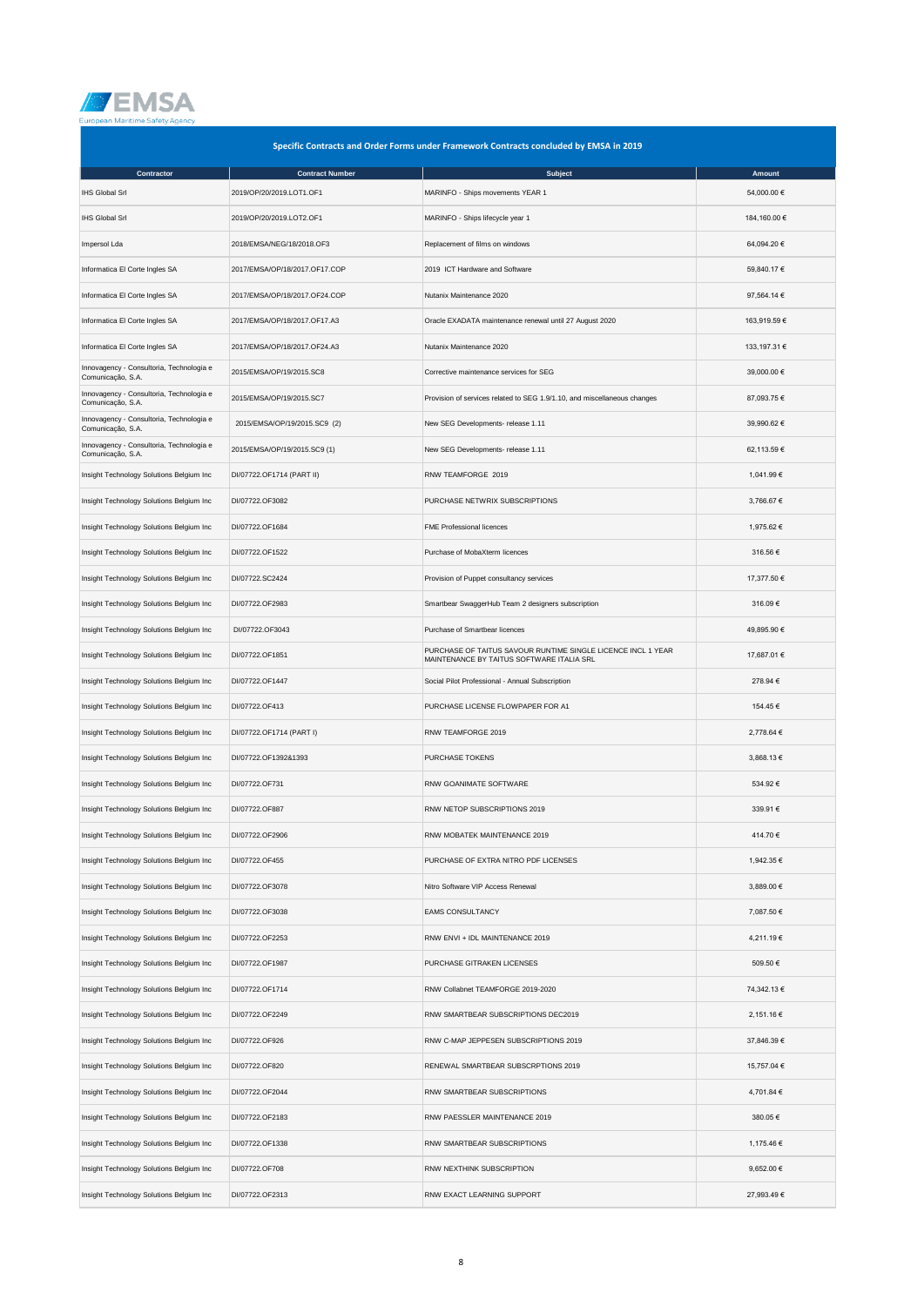

| Specific Contracts and Order Forms under Framework Contracts concluded by EMSA in 2019 |                               |                                                                                                           |              |  |
|----------------------------------------------------------------------------------------|-------------------------------|-----------------------------------------------------------------------------------------------------------|--------------|--|
| Contractor                                                                             | <b>Contract Number</b>        | <b>Subject</b>                                                                                            | Amount       |  |
| <b>IHS Global Srl</b>                                                                  | 2019/OP/20/2019.LOT1.OF1      | MARINFO - Ships movements YEAR 1                                                                          | 54,000.00 €  |  |
| <b>IHS Global Srl</b>                                                                  | 2019/OP/20/2019.LOT2.OF1      | MARINFO - Ships lifecycle year 1                                                                          | 184,160.00 € |  |
| Impersol Lda                                                                           | 2018/EMSA/NEG/18/2018.OF3     | Replacement of films on windows                                                                           | 64,094.20 €  |  |
| Informatica El Corte Ingles SA                                                         | 2017/EMSA/OP/18/2017.OF17.COP | 2019 ICT Hardware and Software                                                                            | 59,840.17 €  |  |
| Informatica El Corte Ingles SA                                                         | 2017/EMSA/OP/18/2017.OF24.COP | Nutanix Maintenance 2020                                                                                  | 97,564.14 €  |  |
| Informatica El Corte Ingles SA                                                         | 2017/EMSA/OP/18/2017.OF17.A3  | Oracle EXADATA maintenance renewal until 27 August 2020                                                   | 163,919.59€  |  |
| Informatica El Corte Ingles SA                                                         | 2017/EMSA/OP/18/2017.OF24.A3  | Nutanix Maintenance 2020                                                                                  | 133,197.31 € |  |
| Innovagency - Consultoria, Technologia e<br>Comunicação, S.A.                          | 2015/EMSA/OP/19/2015.SC8      | Corrective maintenance services for SEG                                                                   | 39,000.00 €  |  |
| Innovagency - Consultoria, Technologia e<br>Comunicação, S.A.                          | 2015/EMSA/OP/19/2015.SC7      | Provision of services related to SEG 1.9/1.10, and miscellaneous changes                                  | 87,093.75 €  |  |
| Innovagency - Consultoria, Technologia e<br>Comunicação, S.A.                          | 2015/EMSA/OP/19/2015.SC9 (2)  | New SEG Developments- release 1.11                                                                        | 39,990.62 €  |  |
| Innovagency - Consultoria, Technologia e<br>Comunicação, S.A.                          | 2015/EMSA/OP/19/2015.SC9 (1)  | New SEG Developments- release 1.11                                                                        | 62,113.59€   |  |
| Insight Technology Solutions Belgium Inc                                               | DI/07722.OF1714 (PART II)     | RNW TEAMFORGE 2019                                                                                        | 1,041.99 €   |  |
| Insight Technology Solutions Belgium Inc                                               | DI/07722.OF3082               | PURCHASE NETWRIX SUBSCRIPTIONS                                                                            | 3,766.67 €   |  |
| Insight Technology Solutions Belgium Inc                                               | DI/07722.OF1684               | <b>FME Professional licences</b>                                                                          | 1,975.62 €   |  |
| Insight Technology Solutions Belgium Inc                                               | DI/07722.OF1522               | Purchase of MobaXterm licences                                                                            | 316.56€      |  |
| Insight Technology Solutions Belgium Inc                                               | DI/07722.SC2424               | Provision of Puppet consultancy services                                                                  | 17,377.50 €  |  |
| Insight Technology Solutions Belgium Inc                                               | DI/07722.OF2983               | Smartbear SwaggerHub Team 2 designers subscription                                                        | 316.09€      |  |
| Insight Technology Solutions Belgium Inc                                               | DI/07722.OF3043               | Purchase of Smartbear licences                                                                            | 49,895.90 €  |  |
| Insight Technology Solutions Belgium Inc                                               | DI/07722.OF1851               | PURCHASE OF TAITUS SAVOUR RUNTIME SINGLE LICENCE INCL 1 YEAR<br>MAINTENANCE BY TAITUS SOFTWARE ITALIA SRL | 17,687.01 €  |  |
| Insight Technology Solutions Belgium Inc                                               | DI/07722.OF1447               | Social Pilot Professional - Annual Subscription                                                           | 278.94 €     |  |
| Insight Technology Solutions Belgium Inc                                               | DI/07722.OF413                | PURCHASE LICENSE FLOWPAPER FOR A1                                                                         | 154.45€      |  |
| Insight Technology Solutions Belgium Inc                                               | DI/07722.OF1714 (PART I)      | RNW TEAMFORGE 2019                                                                                        | 2,778.64 €   |  |
| Insight Technology Solutions Belgium Inc                                               | DI/07722.OF1392&1393          | PURCHASE TOKENS                                                                                           | 3.868.13 €   |  |
| Insight Technology Solutions Belgium Inc                                               | DI/07722.OF731                | RNW GOANIMATE SOFTWARE                                                                                    | 534.92€      |  |
| Insight Technology Solutions Belgium Inc                                               | DI/07722.OF887                | RNW NETOP SUBSCRIPTIONS 2019                                                                              | 339.91€      |  |
| Insight Technology Solutions Belgium Inc                                               | DI/07722.OF2906               | RNW MOBATEK MAINTENANCE 2019                                                                              | 414.70 €     |  |
| Insight Technology Solutions Belgium Inc                                               | DI/07722.OF455                | PURCHASE OF EXTRA NITRO PDF LICENSES                                                                      | 1,942.35 €   |  |
| Insight Technology Solutions Belgium Inc                                               | DI/07722.OF3078               | Nitro Software VIP Access Renewal                                                                         | 3,889.00 €   |  |
| Insight Technology Solutions Belgium Inc                                               | DI/07722.OF3038               | <b>EAMS CONSULTANCY</b>                                                                                   | 7,087.50 €   |  |
| Insight Technology Solutions Belgium Inc                                               | DI/07722.OF2253               | RNW ENVI + IDL MAINTENANCE 2019                                                                           | 4,211.19 €   |  |
| Insight Technology Solutions Belgium Inc                                               | DI/07722.OF1987               | PURCHASE GITRAKEN LICENSES                                                                                | 509.50€      |  |
| Insight Technology Solutions Belgium Inc                                               | DI/07722.OF1714               | RNW Collabnet TEAMFORGE 2019-2020                                                                         | 74,342.13 €  |  |
| Insight Technology Solutions Belgium Inc                                               | DI/07722.OF2249               | RNW SMARTBEAR SUBSCRIPTIONS DEC2019                                                                       | 2,151.16 €   |  |
| Insight Technology Solutions Belgium Inc                                               | DI/07722.OF926                | RNW C-MAP JEPPESEN SUBSCRIPTIONS 2019                                                                     | 37,846.39 €  |  |
| Insight Technology Solutions Belgium Inc                                               | DI/07722.OF820                | RENEWAL SMARTBEAR SUBSCRPTIONS 2019                                                                       | 15,757.04 €  |  |
| Insight Technology Solutions Belgium Inc                                               | DI/07722.OF2044               | RNW SMARTBEAR SUBSCRIPTIONS                                                                               | 4,701.84 €   |  |
| Insight Technology Solutions Belgium Inc                                               | DI/07722.OF2183               | RNW PAESSLER MAINTENANCE 2019                                                                             | 380.05€      |  |
| Insight Technology Solutions Belgium Inc                                               | DI/07722.OF1338               | RNW SMARTBEAR SUBSCRIPTIONS                                                                               | 1,175.46 €   |  |
| Insight Technology Solutions Belgium Inc                                               | DI/07722.OF708                | RNW NEXTHINK SUBSCRIPTION                                                                                 | 9,652.00 €   |  |
| Insight Technology Solutions Belgium Inc                                               | DI/07722.OF2313               | RNW EXACT LEARNING SUPPORT                                                                                | 27,993.49€   |  |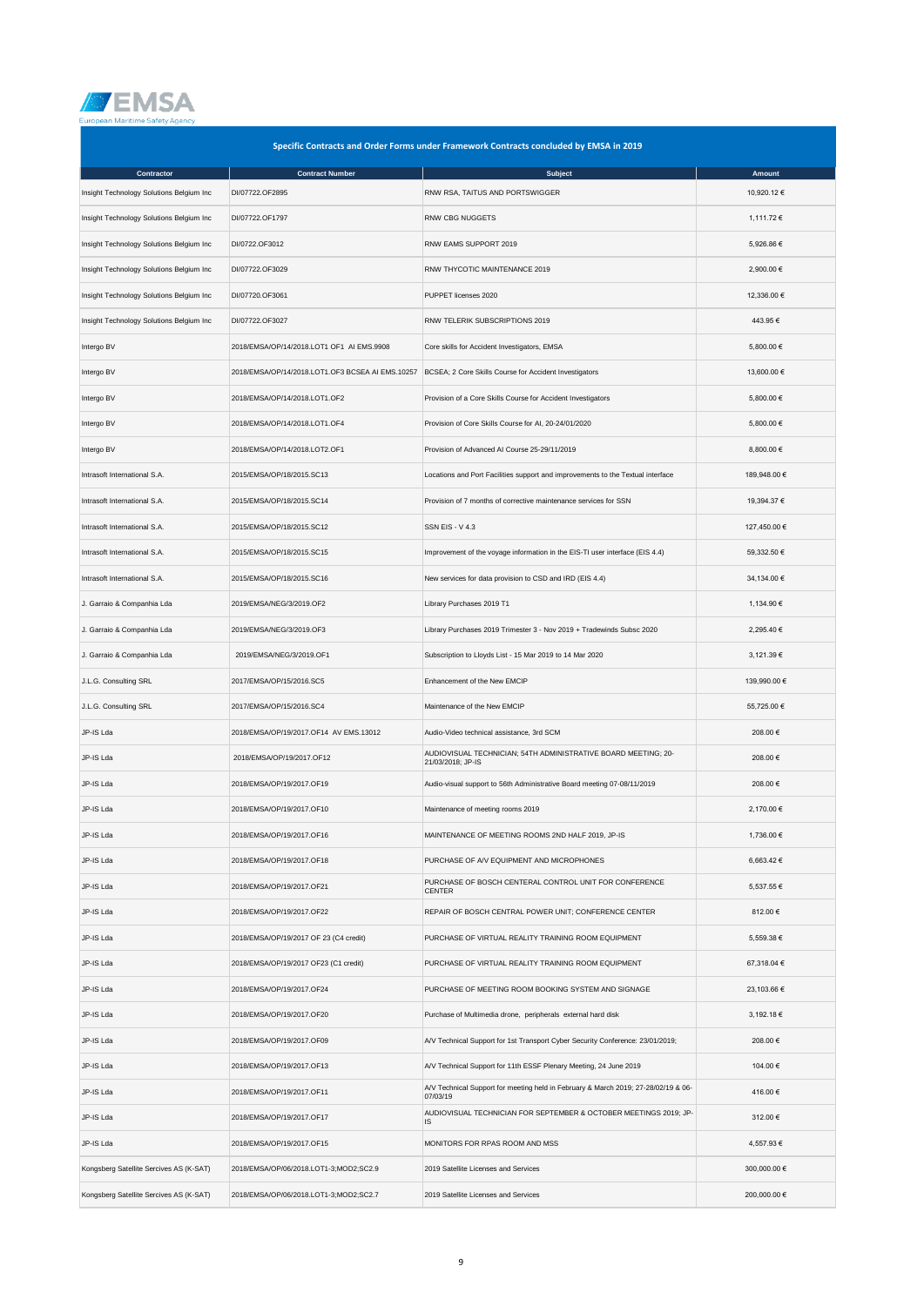

| Specific Contracts and Order Forms under Framework Contracts concluded by EMSA in 2019 |                                                  |                                                                                                |              |  |
|----------------------------------------------------------------------------------------|--------------------------------------------------|------------------------------------------------------------------------------------------------|--------------|--|
| Contractor                                                                             | <b>Contract Number</b>                           | Subject                                                                                        | Amount       |  |
| Insight Technology Solutions Belgium Inc                                               | DI/07722.OF2895                                  | RNW RSA, TAITUS AND PORTSWIGGER                                                                | 10,920.12 €  |  |
| Insight Technology Solutions Belgium Inc                                               | DI/07722.OF1797                                  | RNW CBG NUGGETS                                                                                | 1,111.72 €   |  |
| Insight Technology Solutions Belgium Inc                                               | DI/0722.OF3012                                   | RNW EAMS SUPPORT 2019                                                                          | 5,926.86 €   |  |
| Insight Technology Solutions Belgium Inc                                               | DI/07722.OF3029                                  | RNW THYCOTIC MAINTENANCE 2019                                                                  | 2,900.00 €   |  |
| Insight Technology Solutions Belgium Inc                                               | DI/07720.OF3061                                  | PUPPET licenses 2020                                                                           | 12,336.00 €  |  |
| Insight Technology Solutions Belgium Inc                                               | DI/07722.OF3027                                  | RNW TELERIK SUBSCRIPTIONS 2019                                                                 | 443.95€      |  |
| Intergo BV                                                                             | 2018/EMSA/OP/14/2018.LOT1 OF1 AI EMS.9908        | Core skills for Accident Investigators, EMSA                                                   | 5,800.00 €   |  |
| Intergo BV                                                                             | 2018/EMSA/OP/14/2018.LOT1.OF3 BCSEA AI EMS.10257 | BCSEA; 2 Core Skills Course for Accident Investigators                                         | 13,600.00 €  |  |
| Intergo BV                                                                             | 2018/EMSA/OP/14/2018.LOT1.OF2                    | Provision of a Core Skills Course for Accident Investigators                                   | 5,800.00 €   |  |
| Intergo BV                                                                             | 2018/EMSA/OP/14/2018.LOT1.OF4                    | Provision of Core Skills Course for AI, 20-24/01/2020                                          | 5,800.00 €   |  |
| Intergo BV                                                                             | 2018/EMSA/OP/14/2018.LOT2.OF1                    | Provision of Advanced AI Course 25-29/11/2019                                                  | 8,800.00 €   |  |
| Intrasoft International S.A.                                                           | 2015/EMSA/OP/18/2015.SC13                        | Locations and Port Facilities support and improvements to the Textual interface                | 189,948.00 € |  |
| Intrasoft International S.A.                                                           | 2015/EMSA/OP/18/2015.SC14                        | Provision of 7 months of corrective maintenance services for SSN                               | 19,394.37 €  |  |
| Intrasoft International S.A.                                                           | 2015/EMSA/OP/18/2015.SC12                        | <b>SSN EIS - V 4.3</b>                                                                         | 127,450.00 € |  |
| Intrasoft International S.A.                                                           | 2015/EMSA/OP/18/2015.SC15                        | Improvement of the voyage information in the EIS-TI user interface (EIS 4.4)                   | 59,332.50 €  |  |
| Intrasoft International S.A.                                                           | 2015/EMSA/OP/18/2015.SC16                        | New services for data provision to CSD and IRD (EIS 4.4)                                       | 34,134.00 €  |  |
| J. Garraio & Companhia Lda                                                             | 2019/EMSA/NEG/3/2019.OF2                         | Library Purchases 2019 T1                                                                      | 1,134.90 €   |  |
| J. Garraio & Companhia Lda                                                             | 2019/EMSA/NEG/3/2019.OF3                         | Library Purchases 2019 Trimester 3 - Nov 2019 + Tradewinds Subsc 2020                          | 2,295.40 €   |  |
| J. Garraio & Companhia Lda                                                             | 2019/EMSA/NEG/3/2019.OF1                         | Subscription to Lloyds List - 15 Mar 2019 to 14 Mar 2020                                       | 3,121.39 €   |  |
| J.L.G. Consulting SRL                                                                  | 2017/EMSA/OP/15/2016.SC5                         | Enhancement of the New EMCIP                                                                   | 139,990.00 € |  |
| J.L.G. Consulting SRL                                                                  | 2017/EMSA/OP/15/2016.SC4                         | Maintenance of the New EMCIP                                                                   | 55,725.00 €  |  |
| JP-IS Lda                                                                              | 2018/EMSA/OP/19/2017.OF14 AV EMS.13012           | Audio-Video technical assistance, 3rd SCM                                                      | 208.00 €     |  |
| JP-IS Lda                                                                              | 2018/EMSA/OP/19/2017.OF12                        | AUDIOVISUAL TECHNICIAN; 54TH ADMINISTRATIVE BOARD MEETING; 20-<br>21/03/2018; JP-IS            | 208.00€      |  |
| JP-IS Lda                                                                              | 2018/EMSA/OP/19/2017.OF19                        | Audio-visual support to 56th Administrative Board meeting 07-08/11/2019                        | 208.00€      |  |
| JP-IS Lda                                                                              | 2018/EMSA/OP/19/2017.OF10                        | Maintenance of meeting rooms 2019                                                              | 2,170.00 €   |  |
| JP-IS Lda                                                                              | 2018/EMSA/OP/19/2017.OF16                        | MAINTENANCE OF MEETING ROOMS 2ND HALF 2019, JP-IS                                              | 1,736.00 €   |  |
| JP-IS Lda                                                                              | 2018/EMSA/OP/19/2017.OF18                        | PURCHASE OF A/V EQUIPMENT AND MICROPHONES                                                      | 6,663.42€    |  |
| JP-IS Lda                                                                              | 2018/EMSA/OP/19/2017.OF21                        | PURCHASE OF BOSCH CENTERAL CONTROL UNIT FOR CONFERENCE<br><b>CENTER</b>                        | 5,537.55 €   |  |
| JP-IS Lda                                                                              | 2018/EMSA/OP/19/2017.OF22                        | REPAIR OF BOSCH CENTRAL POWER UNIT; CONFERENCE CENTER                                          | 812.00€      |  |
| JP-IS Lda                                                                              | 2018/EMSA/OP/19/2017 OF 23 (C4 credit)           | PURCHASE OF VIRTUAL REALITY TRAINING ROOM EQUIPMENT                                            | 5,559.38 €   |  |
| JP-IS Lda                                                                              | 2018/EMSA/OP/19/2017 OF23 (C1 credit)            | PURCHASE OF VIRTUAL REALITY TRAINING ROOM EQUIPMENT                                            | 67,318.04 €  |  |
| JP-IS Lda                                                                              | 2018/EMSA/OP/19/2017.OF24                        | PURCHASE OF MEETING ROOM BOOKING SYSTEM AND SIGNAGE                                            | 23,103.66 €  |  |
| JP-IS Lda                                                                              | 2018/EMSA/OP/19/2017.OF20                        | Purchase of Multimedia drone, peripherals external hard disk                                   | 3,192.18 €   |  |
| JP-IS Lda                                                                              | 2018/EMSA/OP/19/2017.OF09                        | A/V Technical Support for 1st Transport Cyber Security Conference: 23/01/2019;                 | 208.00€      |  |
| JP-IS Lda                                                                              | 2018/EMSA/OP/19/2017.OF13                        | A/V Technical Support for 11th ESSF Plenary Meeting, 24 June 2019                              | 104.00 €     |  |
| JP-IS Lda                                                                              | 2018/EMSA/OP/19/2017.OF11                        | A/V Technical Support for meeting held in February & March 2019; 27-28/02/19 & 06-<br>07/03/19 | 416.00€      |  |
| JP-IS Lda                                                                              | 2018/EMSA/OP/19/2017.OF17                        | AUDIOVISUAL TECHNICIAN FOR SEPTEMBER & OCTOBER MEETINGS 2019; JP-<br>IS                        | 312.00€      |  |
| JP-IS Lda                                                                              | 2018/EMSA/OP/19/2017.OF15                        | MONITORS FOR RPAS ROOM AND MSS                                                                 | 4,557.93 €   |  |
| Kongsberg Satellite Sercives AS (K-SAT)                                                | 2018/EMSA/OP/06/2018.LOT1-3;MOD2;SC2.9           | 2019 Satellite Licenses and Services                                                           | 300,000.00 € |  |
| Kongsberg Satellite Sercives AS (K-SAT)                                                | 2018/EMSA/OP/06/2018.LOT1-3;MOD2;SC2.7           | 2019 Satellite Licenses and Services                                                           | 200,000.00 € |  |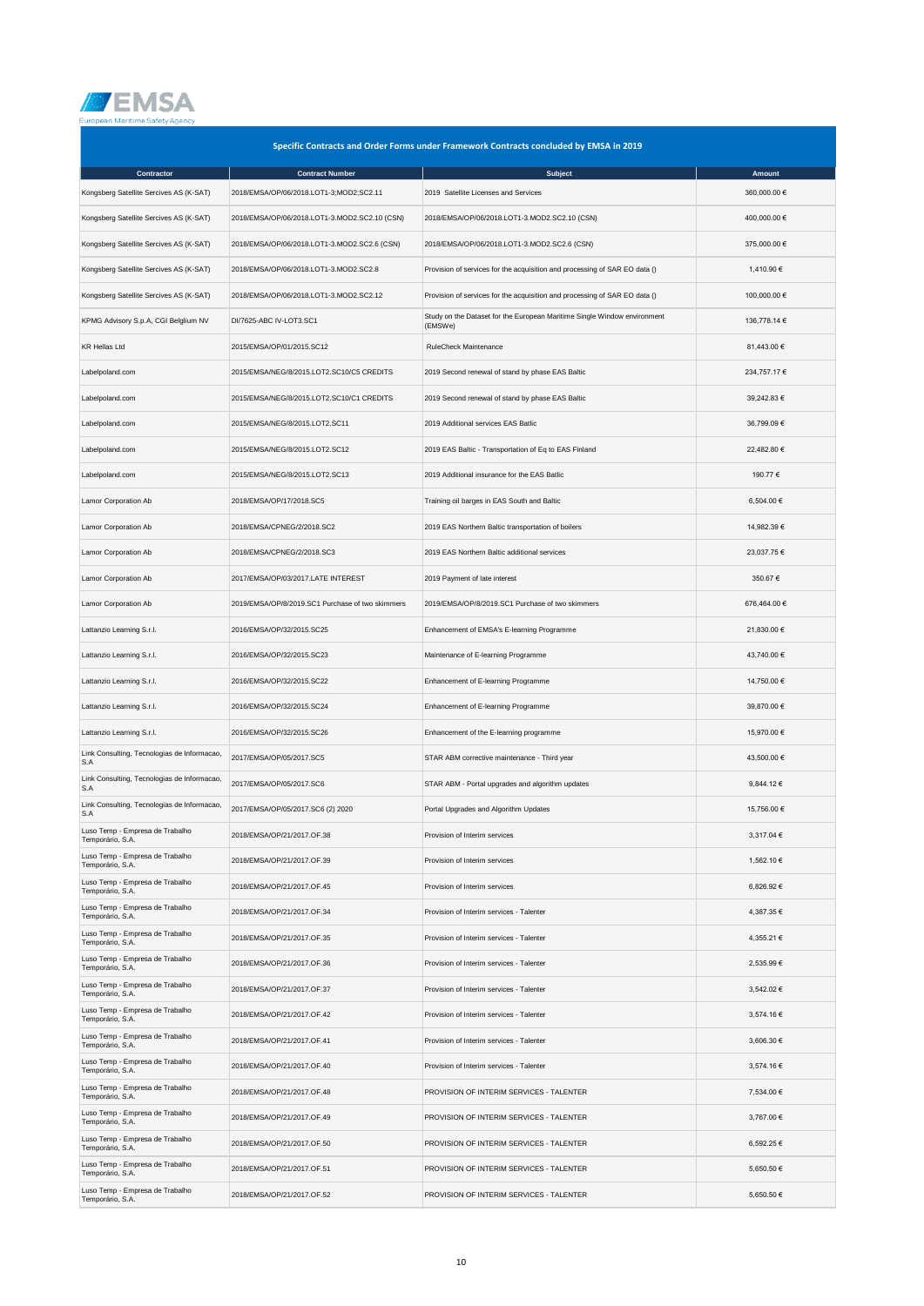

| Specific Contracts and Order Forms under Framework Contracts concluded by EMSA in 2019 |                                                  |                                                                                     |                |  |
|----------------------------------------------------------------------------------------|--------------------------------------------------|-------------------------------------------------------------------------------------|----------------|--|
| Contractor                                                                             | <b>Contract Number</b>                           | Subject                                                                             | Amount         |  |
| Kongsberg Satellite Sercives AS (K-SAT)                                                | 2018/EMSA/OP/06/2018.LOT1-3;MOD2;SC2.11          | 2019 Satellite Licenses and Services                                                | 360,000.00 €   |  |
| Kongsberg Satellite Sercives AS (K-SAT)                                                | 2018/EMSA/OP/06/2018.LOT1-3.MOD2.SC2.10 (CSN)    | 2018/EMSA/OP/06/2018.LOT1-3.MOD2.SC2.10 (CSN)                                       | 400,000.00 €   |  |
| Kongsberg Satellite Sercives AS (K-SAT)                                                | 2018/EMSA/OP/06/2018.LOT1-3.MOD2.SC2.6 (CSN)     | 2018/EMSA/OP/06/2018.LOT1-3.MOD2.SC2.6 (CSN)                                        | 375,000.00 €   |  |
| Kongsberg Satellite Sercives AS (K-SAT)                                                | 2018/EMSA/OP/06/2018.LOT1-3.MOD2.SC2.8           | Provision of services for the acquisition and processing of SAR EO data ()          | 1,410.90 €     |  |
| Kongsberg Satellite Sercives AS (K-SAT)                                                | 2018/EMSA/OP/06/2018.LOT1-3.MOD2.SC2.12          | Provision of services for the acquisition and processing of SAR EO data ()          | 100,000.00 €   |  |
| KPMG Advisory S.p.A, CGI Belglium NV                                                   | DI/7625-ABC IV-LOT3.SC1                          | Study on the Dataset for the European Maritime Single Window environment<br>(EMSWe) | 136,778.14 €   |  |
| <b>KR Hellas Ltd</b>                                                                   | 2015/EMSA/OP/01/2015.SC12                        | <b>RuleCheck Maintenance</b>                                                        | 81,443.00 €    |  |
| Labelpoland.com                                                                        | 2015/EMSA/NEG/8/2015.LOT2.SC10/C5 CREDITS        | 2019 Second renewal of stand by phase EAS Baltic                                    | 234,757.17 €   |  |
| Labelpoland.com                                                                        | 2015/EMSA/NEG/8/2015.LOT2.SC10/C1 CREDITS        | 2019 Second renewal of stand by phase EAS Baltic                                    | 39,242.83 €    |  |
| Labelpoland.com                                                                        | 2015/EMSA/NEG/8/2015.LOT2.SC11                   | 2019 Additional services EAS Batlic                                                 | 36,799.09€     |  |
| Labelpoland.com                                                                        | 2015/EMSA/NEG/8/2015.LOT2.SC12                   | 2019 EAS Baltic - Transportation of Eq to EAS Finland                               | 22,482.80 €    |  |
| Labelpoland.com                                                                        | 2015/EMSA/NEG/8/2015.LOT2.SC13                   | 2019 Additional insurance for the EAS Batlic                                        | 190.77 €       |  |
| Lamor Corporation Ab                                                                   | 2018/EMSA/OP/17/2018.SC5                         | Training oil barges in EAS South and Baltic                                         | 6,504.00 €     |  |
| Lamor Corporation Ab                                                                   | 2018/EMSA/CPNEG/2/2018.SC2                       | 2019 EAS Northern Baltic transportation of boilers                                  | 14,982.39 €    |  |
| Lamor Corporation Ab                                                                   | 2018/EMSA/CPNEG/2/2018.SC3                       | 2019 EAS Northern Baltic additional services                                        | 23,037.75 €    |  |
| Lamor Corporation Ab                                                                   | 2017/EMSA/OP/03/2017.LATE INTEREST               | 2019 Payment of late interest                                                       | 350.67€        |  |
| Lamor Corporation Ab                                                                   | 2019/EMSA/OP/8/2019.SC1 Purchase of two skimmers | 2019/EMSA/OP/8/2019.SC1 Purchase of two skimmers                                    | 676,464.00 €   |  |
| Lattanzio Learning S.r.l.                                                              | 2016/EMSA/OP/32/2015.SC25                        | Enhancement of EMSA's E-learning Programme                                          | 21,830.00 €    |  |
| Lattanzio Learning S.r.l.                                                              | 2016/EMSA/OP/32/2015.SC23                        | Maintenance of E-learning Programme                                                 | 43,740.00 €    |  |
| Lattanzio Learning S.r.l.                                                              | 2016/EMSA/OP/32/2015.SC22                        | Enhancement of E-learning Programme                                                 | 14,750.00 €    |  |
| Lattanzio Learning S.r.l.                                                              | 2016/EMSA/OP/32/2015.SC24                        | Enhancement of E-learning Programme                                                 | 39,870.00 €    |  |
| Lattanzio Learning S.r.l.                                                              | 2016/EMSA/OP/32/2015.SC26                        | Enhancement of the E-learning programme                                             | 15,970.00 €    |  |
| Link Consulting, Tecnologias de Informacao,<br>S.A                                     | 2017/EMSA/OP/05/2017.SC5                         | STAR ABM corrective maintenance - Third year                                        | 43,500.00 €    |  |
| Link Consulting, Tecnologias de Informacao,<br>S.A                                     | 2017/EMSA/OP/05/2017.SC6                         | STAR ABM - Portal upgrades and algorithm updates                                    | $9,844.12 \in$ |  |
| Link Consulting, Tecnologias de Informacao,<br>S.A                                     | 2017/EMSA/OP/05/2017.SC6 (2) 2020                | Portal Upgrades and Algorithm Updates                                               | 15,756.00 €    |  |
| Luso Temp - Empresa de Trabalho<br>Temporário, S.A.                                    | 2018/EMSA/OP/21/2017.OF.38                       | Provision of Interim services                                                       | 3,317.04 €     |  |
| Luso Temp - Empresa de Trabalho<br>Temporário, S.A.                                    | 2018/EMSA/OP/21/2017.OF.39                       | Provision of Interim services                                                       | 1,562.10 €     |  |
| Luso Temp - Empresa de Trabalho<br>Temporário, S.A.                                    | 2018/EMSA/OP/21/2017.OF.45                       | Provision of Interim services                                                       | 6,826.92 €     |  |
| Luso Temp - Empresa de Trabalho<br>Temporário, S.A.                                    | 2018/EMSA/OP/21/2017.OF.34                       | Provision of Interim services - Talenter                                            | 4,387.35 €     |  |
| Luso Temp - Empresa de Trabalho<br>Temporário, S.A.                                    | 2018/EMSA/OP/21/2017.OF.35                       | Provision of Interim services - Talenter                                            | 4,355.21 €     |  |
| Luso Temp - Empresa de Trabalho<br>Temporário, S.A.                                    | 2018/EMSA/OP/21/2017.OF.36                       | Provision of Interim services - Talenter                                            | 2,535.99 €     |  |
| Luso Temp - Empresa de Trabalho<br>Temporário, S.A.                                    | 2018/EMSA/OP/21/2017.OF.37                       | Provision of Interim services - Talenter                                            | 3,542.02 €     |  |
| Luso Temp - Empresa de Trabalho<br>Temporário, S.A.                                    | 2018/EMSA/OP/21/2017.OF.42                       | Provision of Interim services - Talenter                                            | 3,574.16 €     |  |
| Luso Temp - Empresa de Trabalho<br>Temporário, S.A.                                    | 2018/EMSA/OP/21/2017.OF.41                       | Provision of Interim services - Talenter                                            | 3,606.30 €     |  |
| Luso Temp - Empresa de Trabalho<br>Temporário, S.A.                                    | 2018/EMSA/OP/21/2017.OF.40                       | Provision of Interim services - Talenter                                            | 3,574.16 €     |  |
| Luso Temp - Empresa de Trabalho<br>Temporário, S.A.                                    | 2018/EMSA/OP/21/2017.OF.48                       | PROVISION OF INTERIM SERVICES - TALENTER                                            | 7,534.00 €     |  |
| Luso Temp - Empresa de Trabalho<br>Temporário, S.A.                                    | 2018/EMSA/OP/21/2017.OF.49                       | PROVISION OF INTERIM SERVICES - TALENTER                                            | 3,767.00 €     |  |
| Luso Temp - Empresa de Trabalho<br>Temporário, S.A.                                    | 2018/EMSA/OP/21/2017.OF.50                       | PROVISION OF INTERIM SERVICES - TALENTER                                            | 6,592.25 €     |  |
| Luso Temp - Empresa de Trabalho<br>Temporário, S.A.                                    | 2018/EMSA/OP/21/2017.OF.51                       | PROVISION OF INTERIM SERVICES - TALENTER                                            | 5,650.50 €     |  |
| Luso Temp - Empresa de Trabalho<br>Temporário, S.A.                                    | 2018/EMSA/OP/21/2017.OF.52                       | PROVISION OF INTERIM SERVICES - TALENTER                                            | 5,650.50 €     |  |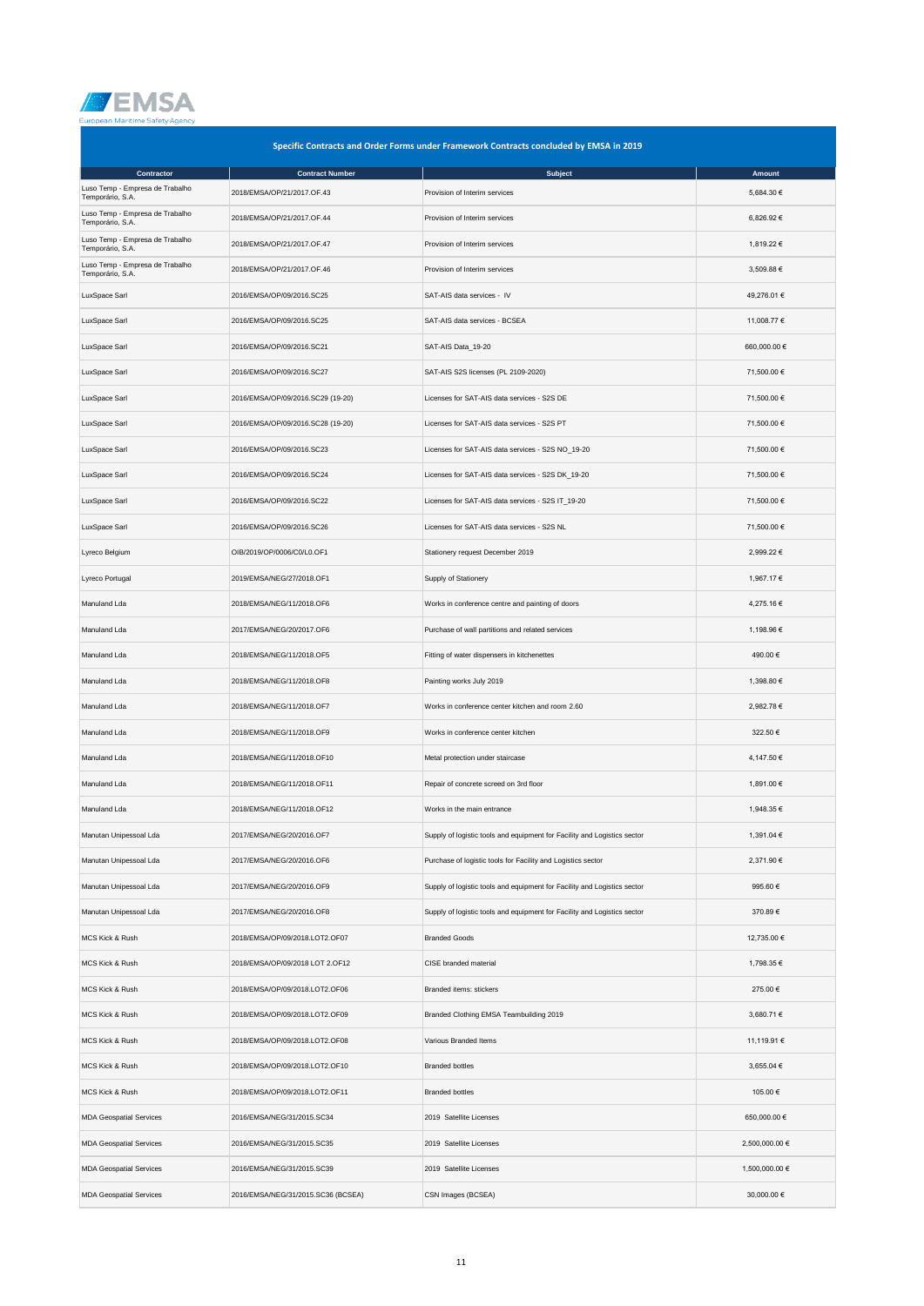

|                                                     | Specific Contracts and Order Forms under Framework Contracts concluded by EMSA in 2019 |                                                                          |                |  |  |
|-----------------------------------------------------|----------------------------------------------------------------------------------------|--------------------------------------------------------------------------|----------------|--|--|
| Contractor                                          | <b>Contract Number</b>                                                                 | <b>Subject</b>                                                           | Amount         |  |  |
| Luso Temp - Empresa de Trabalho<br>Temporário, S.A. | 2018/EMSA/OP/21/2017.OF.43                                                             | Provision of Interim services                                            | 5,684.30 €     |  |  |
| Luso Temp - Empresa de Trabalho<br>Temporário, S.A. | 2018/EMSA/OP/21/2017.OF.44                                                             | Provision of Interim services                                            | 6,826.92 €     |  |  |
| Luso Temp - Empresa de Trabalho<br>Temporário, S.A. | 2018/EMSA/OP/21/2017.OF.47                                                             | Provision of Interim services                                            | 1,819.22 €     |  |  |
| Luso Temp - Empresa de Trabalho<br>Temporário, S.A. | 2018/EMSA/OP/21/2017.OF.46                                                             | Provision of Interim services                                            | 3,509.88 €     |  |  |
| LuxSpace Sarl                                       | 2016/EMSA/OP/09/2016.SC25                                                              | SAT-AIS data services - IV                                               | 49,276.01 €    |  |  |
| LuxSpace Sarl                                       | 2016/EMSA/OP/09/2016.SC25                                                              | SAT-AIS data services - BCSEA                                            | 11,008.77 €    |  |  |
| LuxSpace Sarl                                       | 2016/EMSA/OP/09/2016.SC21                                                              | SAT-AIS Data_19-20                                                       | 660,000.00€    |  |  |
| LuxSpace Sarl                                       | 2016/EMSA/OP/09/2016.SC27                                                              | SAT-AIS S2S licenses (PL 2109-2020)                                      | 71,500.00 €    |  |  |
| LuxSpace Sarl                                       | 2016/EMSA/OP/09/2016.SC29 (19-20)                                                      | Licenses for SAT-AIS data services - S2S DE                              | 71,500.00 €    |  |  |
| LuxSpace Sarl                                       | 2016/EMSA/OP/09/2016.SC28 (19-20)                                                      | Licenses for SAT-AIS data services - S2S PT                              | 71,500.00 €    |  |  |
| LuxSpace Sarl                                       | 2016/EMSA/OP/09/2016.SC23                                                              | Licenses for SAT-AIS data services - S2S NO_19-20                        | 71,500.00 €    |  |  |
| LuxSpace Sarl                                       | 2016/EMSA/OP/09/2016.SC24                                                              | Licenses for SAT-AIS data services - S2S DK_19-20                        | 71,500.00 €    |  |  |
| LuxSpace Sarl                                       | 2016/EMSA/OP/09/2016.SC22                                                              | Licenses for SAT-AIS data services - S2S IT_19-20                        | 71,500.00 €    |  |  |
| LuxSpace Sarl                                       | 2016/EMSA/OP/09/2016.SC26                                                              | Licenses for SAT-AIS data services - S2S NL                              | 71,500.00 €    |  |  |
| Lyreco Belgium                                      | OIB/2019/OP/0006/C0/L0.OF1                                                             | Stationery request December 2019                                         | 2,999.22 €     |  |  |
| Lyreco Portugal                                     | 2019/EMSA/NEG/27/2018.OF1                                                              | Supply of Stationery                                                     | 1,967.17 €     |  |  |
| Manuland Lda                                        | 2018/EMSA/NEG/11/2018.OF6                                                              | Works in conference centre and painting of doors                         | 4,275.16€      |  |  |
| Manuland Lda                                        | 2017/EMSA/NEG/20/2017.OF6                                                              | Purchase of wall partitions and related services                         | 1,198.96 €     |  |  |
| Manuland Lda                                        | 2018/EMSA/NEG/11/2018.OF5                                                              | Fitting of water dispensers in kitchenettes                              | 490.00 €       |  |  |
| Manuland Lda                                        | 2018/EMSA/NEG/11/2018.OF8                                                              | Painting works July 2019                                                 | 1,398.80 €     |  |  |
| Manuland Lda                                        | 2018/EMSA/NEG/11/2018.OF7                                                              | Works in conference center kitchen and room 2.60                         | 2,982.78 €     |  |  |
| Manuland Lda                                        | 2018/EMSA/NEG/11/2018.OF9                                                              | Works in conference center kitchen                                       | 322.50€        |  |  |
| Manuland Lda                                        | 2018/EMSA/NEG/11/2018.OF10                                                             | Metal protection under staircase                                         | 4,147.50 €     |  |  |
| Manuland Lda                                        | 2018/EMSA/NEG/11/2018.OF11                                                             | Repair of concrete screed on 3rd floor                                   | 1,891.00 €     |  |  |
| Manuland Lda                                        | 2018/EMSA/NEG/11/2018.OF12                                                             | Works in the main entrance                                               | 1,948.35 €     |  |  |
| Manutan Unipessoal Lda                              | 2017/EMSA/NEG/20/2016.OF7                                                              | Supply of logistic tools and equipment for Facility and Logistics sector | 1,391.04 €     |  |  |
| Manutan Unipessoal Lda                              | 2017/EMSA/NEG/20/2016.OF6                                                              | Purchase of logistic tools for Facility and Logistics sector             | 2,371.90 €     |  |  |
| Manutan Unipessoal Lda                              | 2017/EMSA/NEG/20/2016.OF9                                                              | Supply of logistic tools and equipment for Facility and Logistics sector | 995.60€        |  |  |
| Manutan Unipessoal Lda                              | 2017/EMSA/NEG/20/2016.OF8                                                              | Supply of logistic tools and equipment for Facility and Logistics sector | 370.89€        |  |  |
| MCS Kick & Rush                                     | 2018/EMSA/OP/09/2018.LOT2.OF07                                                         | <b>Branded Goods</b>                                                     | 12,735.00 €    |  |  |
| MCS Kick & Rush                                     | 2018/EMSA/OP/09/2018 LOT 2.OF12                                                        | CISE branded material                                                    | 1,798.35 €     |  |  |
| MCS Kick & Rush                                     | 2018/EMSA/OP/09/2018.LOT2.OF06                                                         | Branded items: stickers                                                  | 275.00 €       |  |  |
| MCS Kick & Rush                                     | 2018/EMSA/OP/09/2018.LOT2.OF09                                                         | Branded Clothing EMSA Teambuilding 2019                                  | 3,680.71 €     |  |  |
| MCS Kick & Rush                                     | 2018/EMSA/OP/09/2018.LOT2.OF08                                                         | Various Branded Items                                                    | 11,119.91 €    |  |  |
| MCS Kick & Rush                                     | 2018/EMSA/OP/09/2018.LOT2.OF10                                                         | <b>Branded bottles</b>                                                   | 3,655.04 €     |  |  |
| MCS Kick & Rush                                     | 2018/EMSA/OP/09/2018.LOT2.OF11                                                         | <b>Branded bottles</b>                                                   | 105.00 €       |  |  |
| <b>MDA Geospatial Services</b>                      | 2016/EMSA/NEG/31/2015.SC34                                                             | 2019 Satellite Licenses                                                  | 650,000.00 €   |  |  |
| <b>MDA Geospatial Services</b>                      | 2016/EMSA/NEG/31/2015.SC35                                                             | 2019 Satellite Licenses                                                  | 2,500,000.00 € |  |  |
| <b>MDA Geospatial Services</b>                      | 2016/EMSA/NEG/31/2015.SC39                                                             | 2019 Satellite Licenses                                                  | 1,500,000.00 € |  |  |
| <b>MDA Geospatial Services</b>                      | 2016/EMSA/NEG/31/2015.SC36 (BCSEA)                                                     | CSN Images (BCSEA)                                                       | 30,000.00 €    |  |  |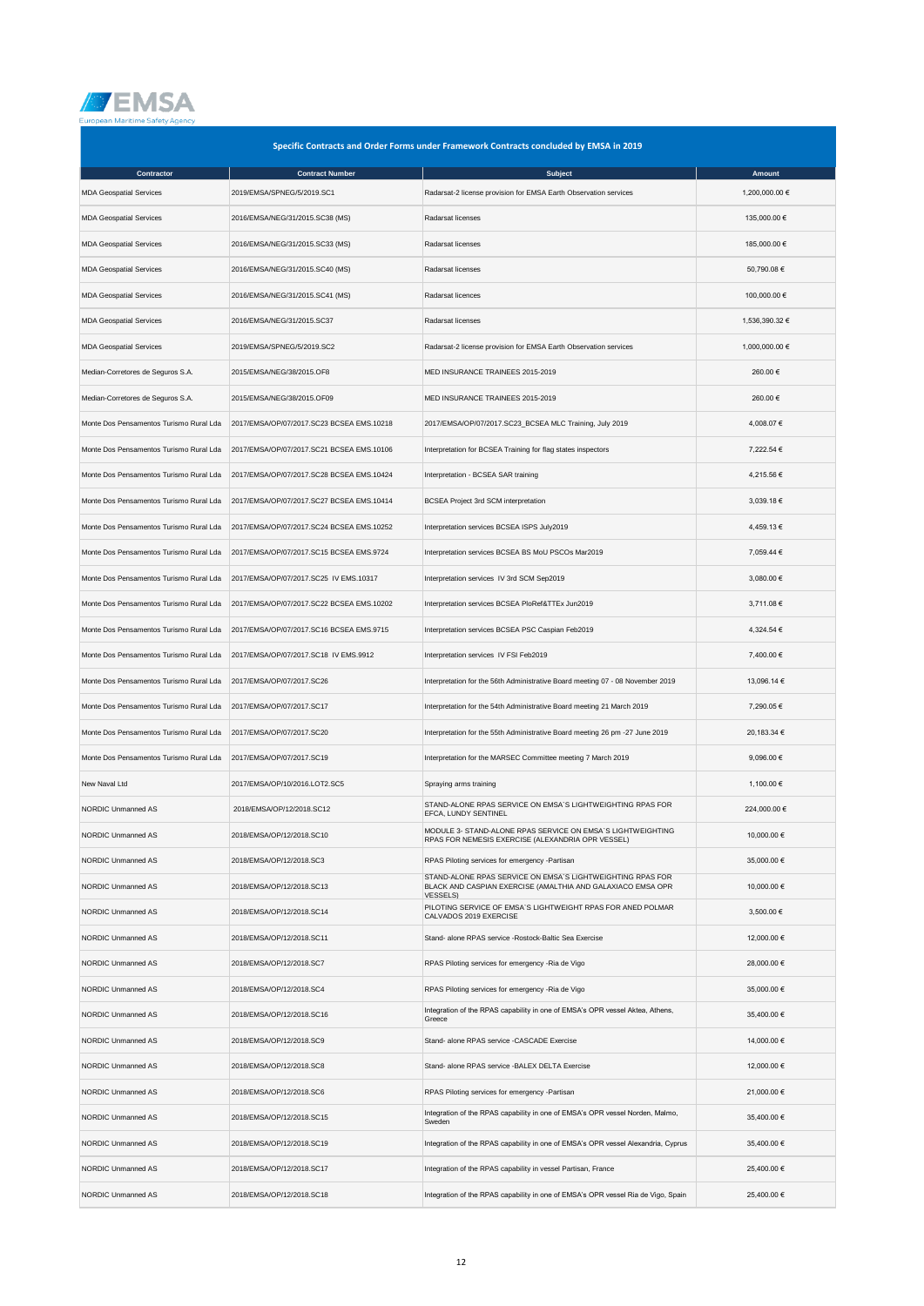

| Specific Contracts and Order Forms under Framework Contracts concluded by EMSA in 2019 |                                           |                                                                                                                                              |                |  |
|----------------------------------------------------------------------------------------|-------------------------------------------|----------------------------------------------------------------------------------------------------------------------------------------------|----------------|--|
| Contractor                                                                             | <b>Contract Number</b>                    | <b>Subject</b>                                                                                                                               | Amount         |  |
| <b>MDA Geospatial Services</b>                                                         | 2019/EMSA/SPNEG/5/2019.SC1                | Radarsat-2 license provision for EMSA Earth Observation services                                                                             | 1,200,000.00 € |  |
| <b>MDA Geospatial Services</b>                                                         | 2016/EMSA/NEG/31/2015.SC38 (MS)           | Radarsat licenses                                                                                                                            | 135,000.00 €   |  |
| <b>MDA Geospatial Services</b>                                                         | 2016/EMSA/NEG/31/2015.SC33 (MS)           | Radarsat licenses                                                                                                                            | 185,000.00 €   |  |
| <b>MDA Geospatial Services</b>                                                         | 2016/EMSA/NEG/31/2015.SC40 (MS)           | Radarsat licenses                                                                                                                            | 50,790.08 €    |  |
| <b>MDA Geospatial Services</b>                                                         | 2016/EMSA/NEG/31/2015.SC41 (MS)           | Radarsat licences                                                                                                                            | 100,000.00 €   |  |
| <b>MDA Geospatial Services</b>                                                         | 2016/EMSA/NEG/31/2015.SC37                | Radarsat licenses                                                                                                                            | 1,536,390.32 € |  |
| <b>MDA Geospatial Services</b>                                                         | 2019/EMSA/SPNEG/5/2019.SC2                | Radarsat-2 license provision for EMSA Earth Observation services                                                                             | 1,000,000.00 € |  |
| Median-Corretores de Seguros S.A.                                                      | 2015/EMSA/NEG/38/2015.OF8                 | MED INSURANCE TRAINEES 2015-2019                                                                                                             | 260.00€        |  |
| Median-Corretores de Seguros S.A.                                                      | 2015/EMSA/NEG/38/2015.OF09                | MED INSURANCE TRAINEES 2015-2019                                                                                                             | 260.00 €       |  |
| Monte Dos Pensamentos Turismo Rural Lda                                                | 2017/EMSA/OP/07/2017.SC23 BCSEA EMS.10218 | 2017/EMSA/OP/07/2017.SC23_BCSEA MLC Training, July 2019                                                                                      | 4,008.07 €     |  |
| Monte Dos Pensamentos Turismo Rural Lda                                                | 2017/EMSA/OP/07/2017.SC21 BCSEA EMS.10106 | Interpretation for BCSEA Training for flag states inspectors                                                                                 | 7,222.54 €     |  |
| Monte Dos Pensamentos Turismo Rural Lda                                                | 2017/EMSA/OP/07/2017.SC28 BCSEA EMS.10424 | Interpretation - BCSEA SAR training                                                                                                          | 4,215.56 €     |  |
| Monte Dos Pensamentos Turismo Rural Lda                                                | 2017/EMSA/OP/07/2017.SC27 BCSEA EMS.10414 | <b>BCSEA Project 3rd SCM interpretation</b>                                                                                                  | 3,039.18 €     |  |
| Monte Dos Pensamentos Turismo Rural Lda                                                | 2017/EMSA/OP/07/2017.SC24 BCSEA EMS.10252 | Interpretation services BCSEA ISPS July2019                                                                                                  | 4,459.13 €     |  |
| Monte Dos Pensamentos Turismo Rural Lda                                                | 2017/EMSA/OP/07/2017.SC15 BCSEA EMS.9724  | Interpretation services BCSEA BS MoU PSCOs Mar2019                                                                                           | 7,059.44 €     |  |
| Monte Dos Pensamentos Turismo Rural Lda                                                | 2017/EMSA/OP/07/2017.SC25 IV EMS.10317    | Interpretation services IV 3rd SCM Sep2019                                                                                                   | 3,080.00 €     |  |
| Monte Dos Pensamentos Turismo Rural Lda                                                | 2017/EMSA/OP/07/2017.SC22 BCSEA EMS.10202 | Interpretation services BCSEA PloRef&TTEx Jun2019                                                                                            | 3,711.08 €     |  |
| Monte Dos Pensamentos Turismo Rural Lda                                                | 2017/EMSA/OP/07/2017.SC16 BCSEA EMS.9715  | Interpretation services BCSEA PSC Caspian Feb2019                                                                                            | 4,324.54 €     |  |
| Monte Dos Pensamentos Turismo Rural Lda                                                | 2017/EMSA/OP/07/2017.SC18 IV EMS.9912     | Interpretation services IV FSI Feb2019                                                                                                       | 7,400.00 €     |  |
| Monte Dos Pensamentos Turismo Rural Lda                                                | 2017/EMSA/OP/07/2017.SC26                 | Interpretation for the 56th Administrative Board meeting 07 - 08 November 2019                                                               | 13,096.14 €    |  |
| Monte Dos Pensamentos Turismo Rural Lda                                                | 2017/EMSA/OP/07/2017.SC17                 | Interpretation for the 54th Administrative Board meeting 21 March 2019                                                                       | 7,290.05 €     |  |
| Monte Dos Pensamentos Turismo Rural Lda                                                | 2017/EMSA/OP/07/2017.SC20                 | Interpretation for the 55th Administrative Board meeting 26 pm -27 June 2019                                                                 | 20,183.34 €    |  |
| Monte Dos Pensamentos Turismo Rural Lda                                                | 2017/EMSA/OP/07/2017.SC19                 | Interpretation for the MARSEC Committee meeting 7 March 2019                                                                                 | 9,096.00 €     |  |
| New Naval Ltd                                                                          | 2017/EMSA/OP/10/2016.LOT2.SC5             | Spraying arms training                                                                                                                       | 1,100.00 €     |  |
| NORDIC Unmanned AS                                                                     | 2018/EMSA/OP/12/2018.SC12                 | STAND-ALONE RPAS SERVICE ON EMSA'S LIGHTWEIGHTING RPAS FOR<br>EFCA. LUNDY SENTINEL                                                           | 224,000.00 €   |  |
| NORDIC Unmanned AS                                                                     | 2018/EMSA/OP/12/2018.SC10                 | MODULE 3- STAND-ALONE RPAS SERVICE ON EMSA'S LIGHTWEIGHTING<br>RPAS FOR NEMESIS EXERCISE (ALEXANDRIA OPR VESSEL)                             | 10,000.00 €    |  |
| NORDIC Unmanned AS                                                                     | 2018/EMSA/OP/12/2018.SC3                  | RPAS Piloting services for emergency -Partisan                                                                                               | 35,000.00 €    |  |
| NORDIC Unmanned AS                                                                     | 2018/EMSA/OP/12/2018.SC13                 | STAND-ALONE RPAS SERVICE ON EMSA'S LIGHTWEIGHTING RPAS FOR<br>BLACK AND CASPIAN EXERCISE (AMALTHIA AND GALAXIACO EMSA OPR<br><b>VESSELS)</b> | 10,000.00 €    |  |
| NORDIC Unmanned AS                                                                     | 2018/EMSA/OP/12/2018.SC14                 | PILOTING SERVICE OF EMSA'S LIGHTWEIGHT RPAS FOR ANED POLMAR<br>CALVADOS 2019 EXERCISE                                                        | 3,500.00 €     |  |
| NORDIC Unmanned AS                                                                     | 2018/EMSA/OP/12/2018.SC11                 | Stand- alone RPAS service - Rostock-Baltic Sea Exercise                                                                                      | 12,000.00 €    |  |
| NORDIC Unmanned AS                                                                     | 2018/EMSA/OP/12/2018.SC7                  | RPAS Piloting services for emergency - Ria de Vigo                                                                                           | 28,000.00 €    |  |
| NORDIC Unmanned AS                                                                     | 2018/EMSA/OP/12/2018.SC4                  | RPAS Piloting services for emergency - Ria de Vigo                                                                                           | 35,000.00 €    |  |
| NORDIC Unmanned AS                                                                     | 2018/EMSA/OP/12/2018.SC16                 | Integration of the RPAS capability in one of EMSA's OPR vessel Aktea, Athens,<br>Greece                                                      | 35,400.00 €    |  |
| NORDIC Unmanned AS                                                                     | 2018/EMSA/OP/12/2018.SC9                  | Stand- alone RPAS service -CASCADE Exercise                                                                                                  | 14,000.00 €    |  |
| NORDIC Unmanned AS                                                                     | 2018/EMSA/OP/12/2018.SC8                  | Stand- alone RPAS service - BALEX DELTA Exercise                                                                                             | 12,000.00 €    |  |
| NORDIC Unmanned AS                                                                     | 2018/EMSA/OP/12/2018.SC6                  | RPAS Piloting services for emergency -Partisan                                                                                               | 21,000.00 €    |  |
| NORDIC Unmanned AS                                                                     | 2018/EMSA/OP/12/2018.SC15                 | Integration of the RPAS capability in one of EMSA's OPR vessel Norden, Malmo,<br>Sweden                                                      | 35,400.00 €    |  |
| NORDIC Unmanned AS                                                                     | 2018/EMSA/OP/12/2018.SC19                 | Integration of the RPAS capability in one of EMSA's OPR vessel Alexandria, Cyprus                                                            | 35,400.00 €    |  |
| NORDIC Unmanned AS                                                                     | 2018/EMSA/OP/12/2018.SC17                 | Integration of the RPAS capability in vessel Partisan, France                                                                                | 25,400.00 €    |  |
| NORDIC Unmanned AS                                                                     | 2018/EMSA/OP/12/2018.SC18                 | Integration of the RPAS capability in one of EMSA's OPR vessel Ria de Vigo, Spain                                                            | 25,400.00 €    |  |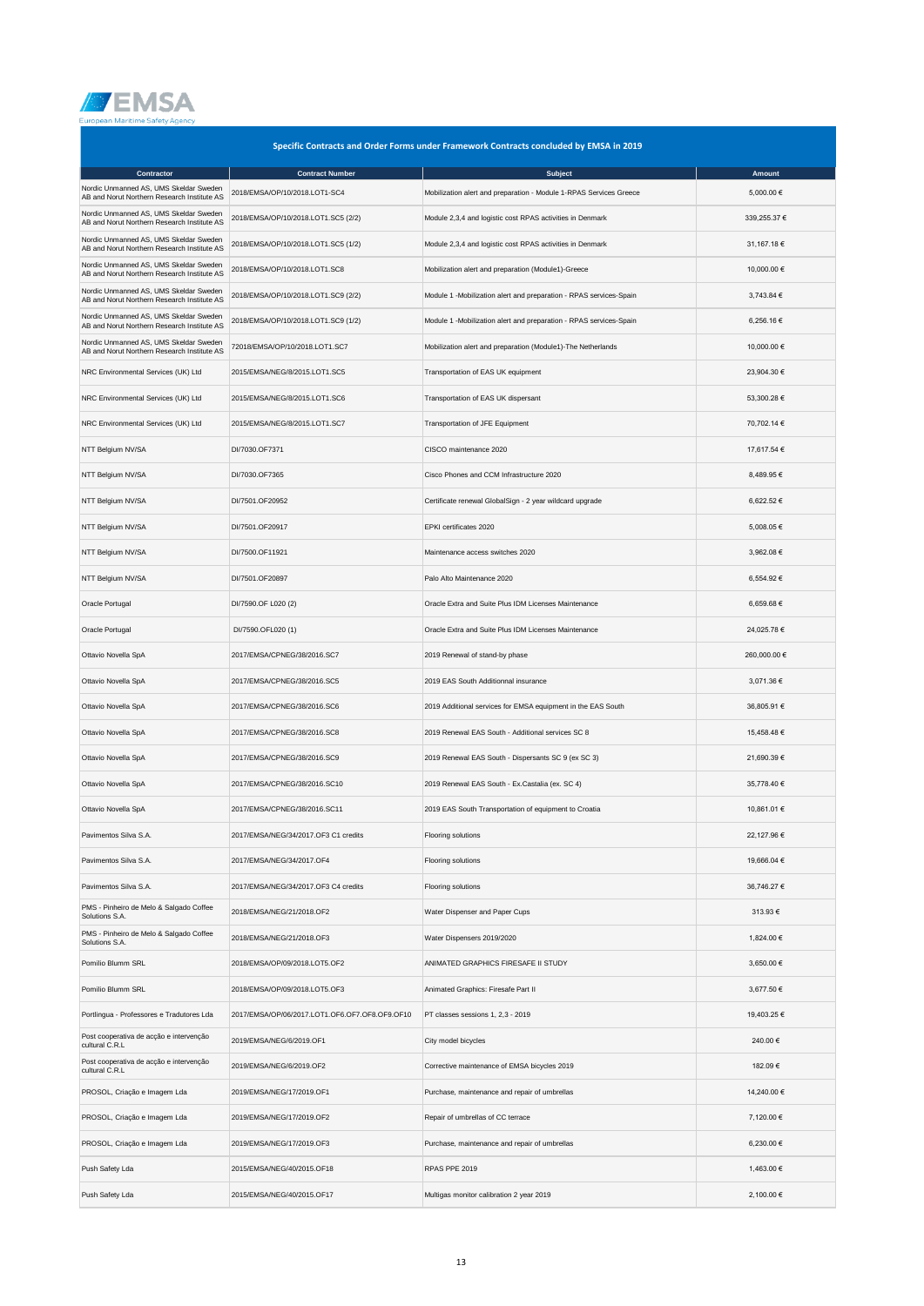

| Specific Contracts and Order Forms under Framework Contracts concluded by EMSA in 2019 |                                                |                                                                    |              |  |  |  |
|----------------------------------------------------------------------------------------|------------------------------------------------|--------------------------------------------------------------------|--------------|--|--|--|
| Contractor                                                                             | <b>Contract Number</b>                         | Subject                                                            | Amount       |  |  |  |
| Nordic Unmanned AS, UMS Skeldar Sweden<br>AB and Norut Northern Research Institute AS  | 2018/EMSA/OP/10/2018.LOT1-SC4                  | Mobilization alert and preparation - Module 1-RPAS Services Greece | 5,000.00 €   |  |  |  |
| Nordic Unmanned AS, UMS Skeldar Sweden<br>AB and Norut Northern Research Institute AS  | 2018/EMSA/OP/10/2018.LOT1.SC5 (2/2)            | Module 2,3,4 and logistic cost RPAS activities in Denmark          | 339,255.37 € |  |  |  |
| Nordic Unmanned AS, UMS Skeldar Sweden<br>AB and Norut Northern Research Institute AS  | 2018/EMSA/OP/10/2018.LOT1.SC5 (1/2)            | Module 2,3,4 and logistic cost RPAS activities in Denmark          | 31,167.18 €  |  |  |  |
| Nordic Unmanned AS, UMS Skeldar Sweden<br>AB and Norut Northern Research Institute AS  | 2018/EMSA/OP/10/2018.LOT1.SC8                  | Mobilization alert and preparation (Module1)-Greece                | 10,000.00 €  |  |  |  |
| Nordic Unmanned AS, UMS Skeldar Sweden<br>AB and Norut Northern Research Institute AS  | 2018/EMSA/OP/10/2018.LOT1.SC9 (2/2)            | Module 1 -Mobilization alert and preparation - RPAS services-Spain | 3,743.84 €   |  |  |  |
| Nordic Unmanned AS, UMS Skeldar Sweden<br>AB and Norut Northern Research Institute AS  | 2018/EMSA/OP/10/2018.LOT1.SC9 (1/2)            | Module 1 -Mobilization alert and preparation - RPAS services-Spain | 6,256.16 €   |  |  |  |
| Nordic Unmanned AS, UMS Skeldar Sweden<br>AB and Norut Northern Research Institute AS  | 72018/EMSA/OP/10/2018.LOT1.SC7                 | Mobilization alert and preparation (Module1)-The Netherlands       | 10,000.00 €  |  |  |  |
| NRC Environmental Services (UK) Ltd                                                    | 2015/EMSA/NEG/8/2015.LOT1.SC5                  | Transportation of EAS UK equipment                                 | 23,904.30 €  |  |  |  |
| NRC Environmental Services (UK) Ltd                                                    | 2015/EMSA/NEG/8/2015.LOT1.SC6                  | Transportation of EAS UK dispersant                                | 53,300.28 €  |  |  |  |
| NRC Environmental Services (UK) Ltd                                                    | 2015/EMSA/NEG/8/2015.LOT1.SC7                  | Transportation of JFE Equipment                                    | 70,702.14 €  |  |  |  |
| NTT Belgium NV/SA                                                                      | DI/7030.OF7371                                 | CISCO maintenance 2020                                             | 17,617.54 €  |  |  |  |
| NTT Belgium NV/SA                                                                      | DI/7030.OF7365                                 | Cisco Phones and CCM Infrastructure 2020                           | 8,489.95€    |  |  |  |
| NTT Belgium NV/SA                                                                      | DI/7501.OF20952                                | Certificate renewal GlobalSign - 2 year wildcard upgrade           | 6,622.52 €   |  |  |  |
| NTT Belgium NV/SA                                                                      | DI/7501.OF20917                                | EPKI certificates 2020                                             | 5,008.05 €   |  |  |  |
| NTT Belgium NV/SA                                                                      | DI/7500.OF11921                                | Maintenance access switches 2020                                   | 3,962.08 €   |  |  |  |
| NTT Belgium NV/SA                                                                      | DI/7501.OF20897                                | Palo Alto Maintenance 2020                                         | 6,554.92 €   |  |  |  |
| Oracle Portugal                                                                        | DI/7590.OF L020 (2)                            | Oracle Extra and Suite Plus IDM Licenses Maintenance               | 6,659.68€    |  |  |  |
| Oracle Portugal                                                                        | DI/7590.OFL020 (1)                             | Oracle Extra and Suite Plus IDM Licenses Maintenance               | 24,025.78 €  |  |  |  |
| Ottavio Novella SpA                                                                    | 2017/EMSA/CPNEG/38/2016.SC7                    | 2019 Renewal of stand-by phase                                     | 260,000.00 € |  |  |  |
| Ottavio Novella SpA                                                                    | 2017/EMSA/CPNEG/38/2016.SC5                    | 2019 EAS South Additionnal insurance                               | 3,071.36 €   |  |  |  |
| Ottavio Novella SpA                                                                    | 2017/EMSA/CPNEG/38/2016.SC6                    | 2019 Additional services for EMSA equipment in the EAS South       | 36,805.91 €  |  |  |  |
| Ottavio Novella SpA                                                                    | 2017/EMSA/CPNEG/38/2016.SC8                    | 2019 Renewal EAS South - Additional services SC 8                  | 15,458.48 €  |  |  |  |
| Ottavio Novella SpA                                                                    | 2017/EMSA/CPNEG/38/2016.SC9                    | 2019 Renewal EAS South - Dispersants SC 9 (ex SC 3)                | 21,690.39 €  |  |  |  |
| Ottavio Novella SpA                                                                    | 2017/EMSA/CPNEG/38/2016.SC10                   | 2019 Renewal EAS South - Ex.Castalia (ex. SC 4)                    | 35,778.40 €  |  |  |  |
| Ottavio Novella SpA                                                                    | 2017/EMSA/CPNEG/38/2016.SC11                   | 2019 EAS South Transportation of equipment to Croatia              | 10,861.01 €  |  |  |  |
| Pavimentos Silva S.A.                                                                  | 2017/EMSA/NEG/34/2017.OF3 C1 credits           | Flooring solutions                                                 | 22,127.96 €  |  |  |  |
| Pavimentos Silva S.A.                                                                  | 2017/EMSA/NEG/34/2017.OF4                      | Flooring solutions                                                 | 19,666.04 €  |  |  |  |
| Pavimentos Silva S.A.                                                                  | 2017/EMSA/NEG/34/2017.OF3 C4 credits           | Flooring solutions                                                 | 36,746.27 €  |  |  |  |
| PMS - Pinheiro de Melo & Salgado Coffee<br>Solutions S.A.                              | 2018/EMSA/NEG/21/2018.OF2                      | Water Dispenser and Paper Cups                                     | 313.93 €     |  |  |  |
| PMS - Pinheiro de Melo & Salgado Coffee<br>Solutions S.A.                              | 2018/EMSA/NEG/21/2018.OF3                      | Water Dispensers 2019/2020                                         | 1,824.00 €   |  |  |  |
| Pomilio Blumm SRL                                                                      | 2018/EMSA/OP/09/2018.LOT5.OF2                  | ANIMATED GRAPHICS FIRESAFE II STUDY                                | 3,650.00 €   |  |  |  |
| Pomilio Blumm SRL                                                                      | 2018/EMSA/OP/09/2018.LOT5.OF3                  | Animated Graphics: Firesafe Part II                                | 3,677.50 €   |  |  |  |
| Portlingua - Professores e Tradutores Lda                                              | 2017/EMSA/OP/06/2017.LOT1.OF6.OF7.OF8.OF9.OF10 | PT classes sessions 1, 2,3 - 2019                                  | 19,403.25 €  |  |  |  |
| Post cooperativa de acção e intervenção<br>cultural C.R.L                              | 2019/EMSA/NEG/6/2019.OF1                       | City model bicycles                                                | 240.00 €     |  |  |  |
| Post cooperativa de acção e intervenção<br>cultural C.R.L                              | 2019/EMSA/NEG/6/2019.OF2                       | Corrective maintenance of EMSA bicycles 2019                       | 182.09€      |  |  |  |
| PROSOL, Criação e Imagem Lda                                                           | 2019/EMSA/NEG/17/2019.OF1                      | Purchase, maintenance and repair of umbrellas                      | 14,240.00 €  |  |  |  |
| PROSOL, Criação e Imagem Lda                                                           | 2019/EMSA/NEG/17/2019.OF2                      | Repair of umbrellas of CC terrace                                  | 7,120.00 €   |  |  |  |
| PROSOL, Criação e Imagem Lda                                                           | 2019/EMSA/NEG/17/2019.OF3                      | Purchase, maintenance and repair of umbrellas                      | 6,230.00 €   |  |  |  |
| Push Safety Lda                                                                        | 2015/EMSA/NEG/40/2015.OF18                     | RPAS PPE 2019                                                      | 1,463.00 €   |  |  |  |
| Push Safety Lda                                                                        | 2015/EMSA/NEG/40/2015.OF17                     | Multigas monitor calibration 2 year 2019                           | 2,100.00 €   |  |  |  |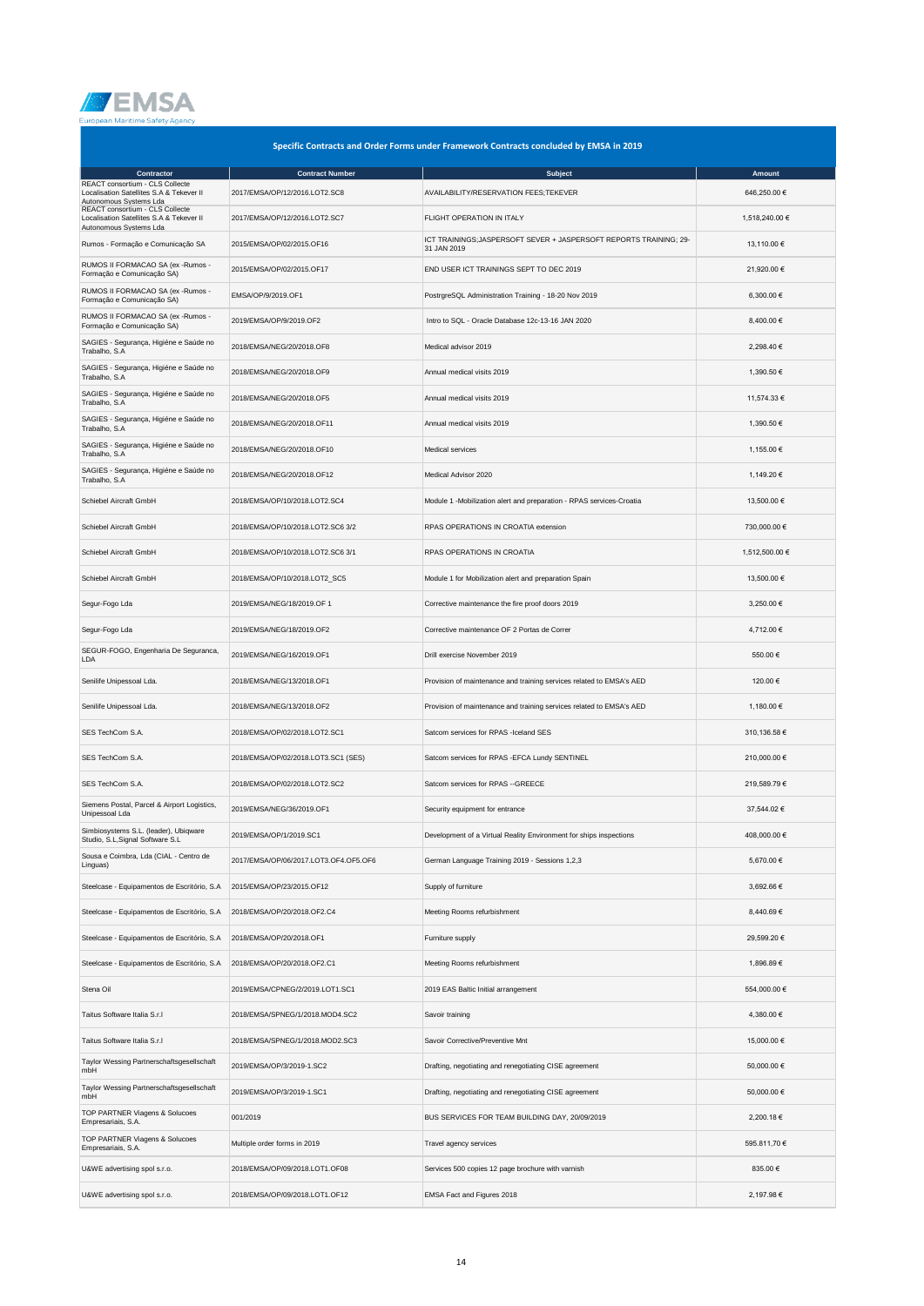

| Specific Contracts and Order Forms under Framework Contracts concluded by EMSA in 2019                |                                       |                                                                                  |                |  |  |  |
|-------------------------------------------------------------------------------------------------------|---------------------------------------|----------------------------------------------------------------------------------|----------------|--|--|--|
| Contractor                                                                                            | <b>Contract Number</b>                | <b>Subject</b>                                                                   | Amount         |  |  |  |
| REACT consortium - CLS Collecte<br>Localisation Satellites S.A & Tekever II<br>Autonomous Systems Lda | 2017/EMSA/OP/12/2016.LOT2.SC8         | AVAILABILITY/RESERVATION FEES;TEKEVER                                            | 646,250.00€    |  |  |  |
| REACT consortium - CLS Collecte<br>Localisation Satellites S.A & Tekever II<br>Autonomous Systems Lda | 2017/EMSA/OP/12/2016.LOT2.SC7         | FLIGHT OPERATION IN ITALY                                                        | 1,518,240.00 € |  |  |  |
| Rumos - Formação e Comunicação SA                                                                     | 2015/EMSA/OP/02/2015.OF16             | ICT TRAININGS;JASPERSOFT SEVER + JASPERSOFT REPORTS TRAINING; 29-<br>31 JAN 2019 | 13,110.00 €    |  |  |  |
| RUMOS II FORMACAO SA (ex - Rumos -<br>Formação e Comunicação SA)                                      | 2015/EMSA/OP/02/2015.OF17             | END USER ICT TRAININGS SEPT TO DEC 2019                                          | 21,920.00 €    |  |  |  |
| RUMOS II FORMACAO SA (ex - Rumos -<br>Formação e Comunicação SA)                                      | EMSA/OP/9/2019.OF1                    | PostrgreSQL Administration Training - 18-20 Nov 2019                             | 6,300.00 €     |  |  |  |
| RUMOS II FORMACAO SA (ex - Rumos -<br>Formação e Comunicação SA)                                      | 2019/EMSA/OP/9/2019.OF2               | Intro to SQL - Oracle Database 12c-13-16 JAN 2020                                | 8,400.00 €     |  |  |  |
| SAGIES - Segurança, Higiéne e Saúde no<br>Trabalho, S.A                                               | 2018/EMSA/NEG/20/2018.OF8             | Medical advisor 2019                                                             | 2,298.40 €     |  |  |  |
| SAGIES - Segurança, Higiéne e Saúde no<br>Trabalho, S.A                                               | 2018/EMSA/NEG/20/2018.OF9             | Annual medical visits 2019                                                       | 1,390.50 €     |  |  |  |
| SAGIES - Segurança, Higiéne e Saúde no<br>Trabalho, S.A                                               | 2018/EMSA/NEG/20/2018.OF5             | Annual medical visits 2019                                                       | 11,574.33 €    |  |  |  |
| SAGIES - Segurança, Higiéne e Saúde no<br>Trabalho, S.A                                               | 2018/EMSA/NEG/20/2018.OF11            | Annual medical visits 2019                                                       | 1,390.50 €     |  |  |  |
| SAGIES - Segurança, Higiéne e Saúde no<br>Trabalho, S.A                                               | 2018/EMSA/NEG/20/2018.OF10            | Medical services                                                                 | 1,155.00 €     |  |  |  |
| SAGIES - Segurança, Higiéne e Saúde no<br>Trabalho, S.A                                               | 2018/EMSA/NEG/20/2018.OF12            | Medical Advisor 2020                                                             | 1,149.20 €     |  |  |  |
| Schiebel Aircraft GmbH                                                                                | 2018/EMSA/OP/10/2018.LOT2.SC4         | Module 1 -Mobilization alert and preparation - RPAS services-Croatia             | 13,500.00 €    |  |  |  |
| Schiebel Aircraft GmbH                                                                                | 2018/EMSA/OP/10/2018.LOT2.SC6 3/2     | RPAS OPERATIONS IN CROATIA extension                                             | 730,000.00 €   |  |  |  |
| Schiebel Aircraft GmbH                                                                                | 2018/EMSA/OP/10/2018.LOT2.SC6 3/1     | RPAS OPERATIONS IN CROATIA                                                       | 1,512,500.00 € |  |  |  |
| Schiebel Aircraft GmbH                                                                                | 2018/EMSA/OP/10/2018.LOT2_SC5         | Module 1 for Mobilization alert and preparation Spain                            | 13,500.00 €    |  |  |  |
| Segur-Fogo Lda                                                                                        | 2019/EMSA/NEG/18/2019.OF 1            | Corrective maintenance the fire proof doors 2019                                 | 3,250.00 €     |  |  |  |
| Segur-Fogo Lda                                                                                        | 2019/EMSA/NEG/18/2019.OF2             | Corrective maintenance OF 2 Portas de Correr                                     | 4,712.00 €     |  |  |  |
| SEGUR-FOGO, Engenharia De Seguranca,<br>LDA                                                           | 2019/EMSA/NEG/16/2019.OF1             | Drill exercise November 2019                                                     | 550.00€        |  |  |  |
| Senilife Unipessoal Lda.                                                                              | 2018/EMSA/NEG/13/2018.OF1             | Provision of maintenance and training services related to EMSA's AED             | 120.00 €       |  |  |  |
| Senilife Unipessoal Lda.                                                                              | 2018/EMSA/NEG/13/2018.OF2             | Provision of maintenance and training services related to EMSA's AED             | 1,180.00 €     |  |  |  |
| SES TechCom S.A.                                                                                      | 2018/EMSA/OP/02/2018.LOT2.SC1         | Satcom services for RPAS -Iceland SES                                            | 310,136.58€    |  |  |  |
| SES TechCom S.A.                                                                                      | 2018/EMSA/OP/02/2018.LOT3.SC1 (SES)   | Satcom services for RPAS - EFCA Lundy SENTINEL                                   | 210,000.00€    |  |  |  |
| SES TechCom S.A.                                                                                      | 2018/EMSA/OP/02/2018.LOT2.SC2         | Satcom services for RPAS --GREECE                                                | 219,589.79€    |  |  |  |
| Siemens Postal, Parcel & Airport Logistics,<br>Unipessoal Lda                                         | 2019/EMSA/NEG/36/2019.OF1             | Security equipment for entrance                                                  | 37,544.02 €    |  |  |  |
| mbiosystems S.L. (leader), Ubiqware<br>Studio, S.L, Signal Software S.L                               | 2019/EMSA/OP/1/2019.SC1               | Development of a Virtual Reality Environment for ships inspections               | 408,000.00 €   |  |  |  |
| Sousa e Coimbra, Lda (CIAL - Centro de<br>Linguas)                                                    | 2017/EMSA/OP/06/2017.LOT3.OF4.OF5.OF6 | German Language Training 2019 - Sessions 1,2,3                                   | 5,670.00 €     |  |  |  |
| Steelcase - Equipamentos de Escritório, S.A                                                           | 2015/EMSA/OP/23/2015.OF12             | Supply of furniture                                                              | 3,692.66 €     |  |  |  |
| Steelcase - Equipamentos de Escritório, S.A                                                           | 2018/EMSA/OP/20/2018.OF2.C4           | Meeting Rooms refurbishment                                                      | 8,440.69€      |  |  |  |
| Steelcase - Equipamentos de Escritório, S.A                                                           | 2018/EMSA/OP/20/2018.OF1              | Furniture supply                                                                 | 29,599.20 €    |  |  |  |
| Steelcase - Equipamentos de Escritório, S.A                                                           | 2018/EMSA/OP/20/2018.OF2.C1           | Meeting Rooms refurbishment                                                      | 1,896.89 €     |  |  |  |
| Stena Oil                                                                                             | 2019/EMSA/CPNEG/2/2019.LOT1.SC1       | 2019 EAS Baltic Initial arrangement                                              | 554,000.00 €   |  |  |  |
| Taitus Software Italia S.r.I                                                                          | 2018/EMSA/SPNEG/1/2018.MOD4.SC2       | Savoir training                                                                  | 4,380.00 €     |  |  |  |
| Taitus Software Italia S.r.I                                                                          | 2018/EMSA/SPNEG/1/2018.MOD2.SC3       | Savoir Corrective/Preventive Mnt                                                 | 15,000.00 €    |  |  |  |
| Taylor Wessing Partnerschaftsgesellschaft<br>mbH                                                      | 2019/EMSA/OP/3/2019-1.SC2             | Drafting, negotiating and renegotiating CISE agreement                           | 50,000.00 €    |  |  |  |
| Taylor Wessing Partnerschaftsgesellschaft<br>mbH                                                      | 2019/EMSA/OP/3/2019-1.SC1             | Drafting, negotiating and renegotiating CISE agreement                           | 50,000.00 €    |  |  |  |
| TOP PARTNER Viagens & Solucoes<br>Empresariais, S.A.                                                  | 001/2019                              | BUS SERVICES FOR TEAM BUILDING DAY, 20/09/2019                                   | 2,200.18 €     |  |  |  |
| TOP PARTNER Viagens & Solucoes<br>Empresariais, S.A.                                                  | Multiple order forms in 2019          | Travel agency services                                                           | 595.811,70 €   |  |  |  |
| U&WE advertising spol s.r.o.                                                                          | 2018/EMSA/OP/09/2018.LOT1.OF08        | Services 500 copies 12 page brochure with varnish                                | 835.00 €       |  |  |  |
| U&WE advertising spol s.r.o.                                                                          | 2018/EMSA/OP/09/2018.LOT1.OF12        | EMSA Fact and Figures 2018                                                       | 2,197.98 €     |  |  |  |